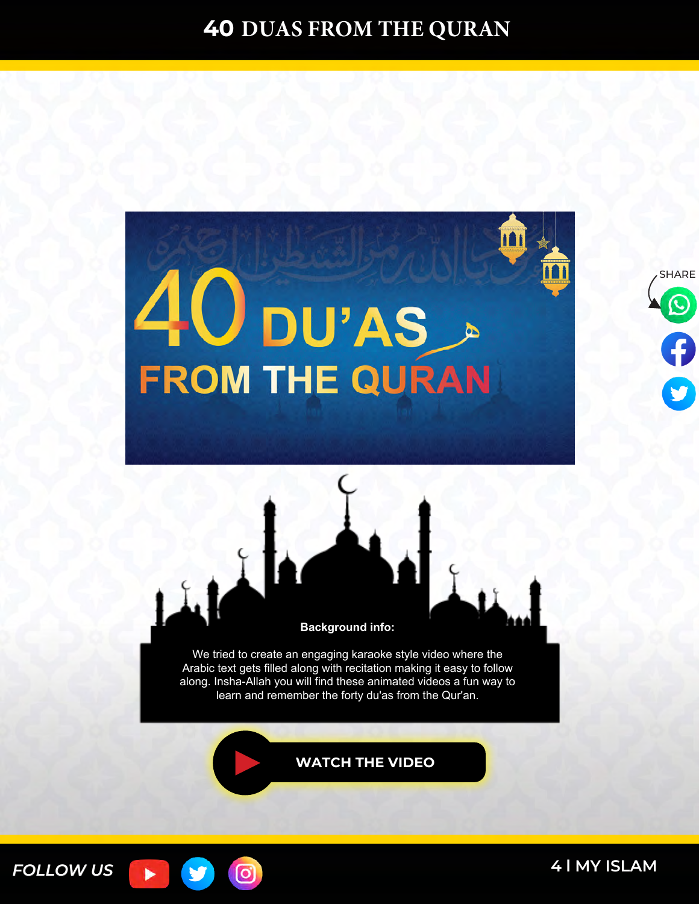





We tried to create an engaging karaoke style video where the Arabic text gets filled along with recitation making it easy to follow along. Insha-Allah you will find these animated videos a fun way to learn and remember the forty du'as from the Qur'an.

**[WATCH THE VIDEO](https://www.youtube.com/watch?v=OwziCFtziLI&lc=UgzC70mtKJaOm6p8scx4AaABAg)**



**4 l MY ISLAM 4 l [MY ISLAM](https://myislam.org/?utm_source=offline&utm_campaign=rabbana-du%27a-book&utm_content=20210127-footer)**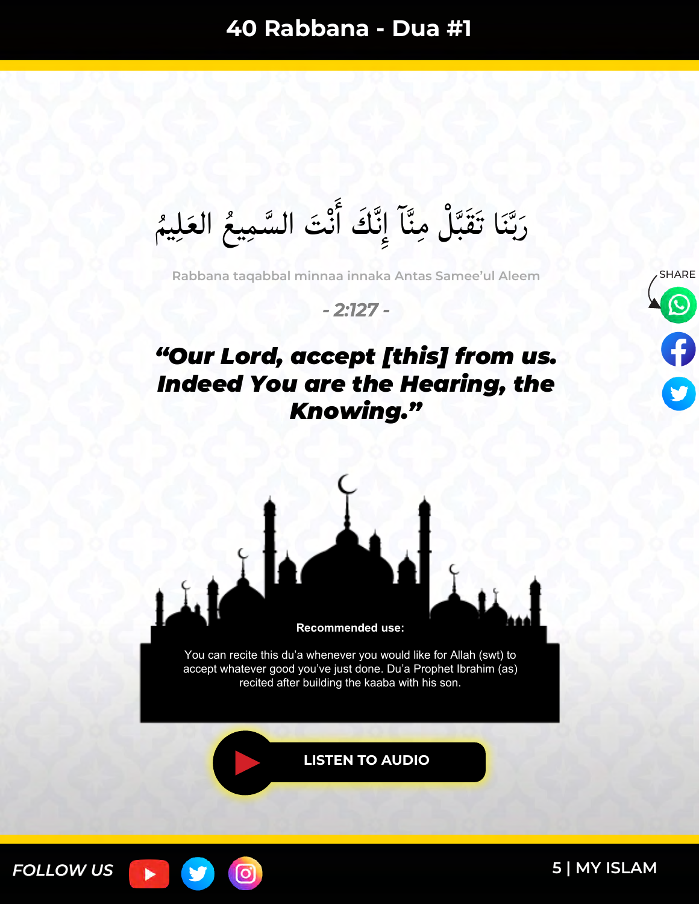$\frac{1}{2}$ رَبَّنَا تَقَبَّلْ مِنَّآ إِنَّكَ أَنْتَ السَّمِيعُ العَلِيمُ  $\tilde{\bm{s}}$ メラー س<br>سا ہ<br>فی ه<br>ز َٔ نک<br>ف  $\frac{1}{2}$ ہ<br>ا  $\ddot{\bm{\lambda}}$ س<br>ب با<br>با ُ مُعَا

**Rabbana taqabbal minnaa innaka Antas Samee'ul Aleem**

*- 2:127 -*

# *"Our Lord, accept [this] from us. Indeed You are the Hearing, the Knowing."*





You can recite this du'a whenever you would like for Allah (swt) to accept whatever good you've just done. Du'a Prophet Ibrahim (as) recited after building the kaaba with his son.

**[LISTEN TO AUDIO](https://youtu.be/HngEYcsk4Xk)**



(ဝ)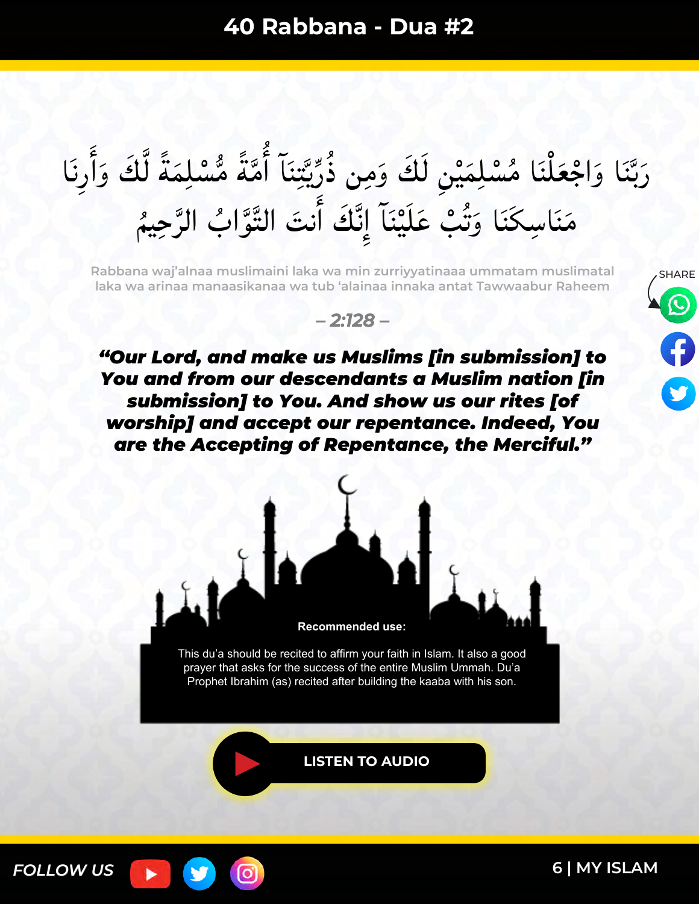#### َرَبَّنَا وَاجْعَلْنَا مُسْلِمَيْنِ لَكَ وَمِن ذُرِّيَّتِنَا أَمَّةً مُّسْلِمَةً لَّكَ وَأَرِنَا َٔ ا ا<br>ما بن<br>ر ً  $\lambda$ ً  $\lambda$ ∕م<br>|<br>| ء<br>ا  $\ddot{\phantom{0}}$ لا<br>لی سمبر<br>پر  $\frac{1}{2}$ ر<br>م  $\frac{1}{2}$  $\lambda$ ֩֩֩֩֩֩֩׀֚  $\tilde{\bm{s}}$ س<br>ب بد<br>ب َ ×<br>♦ مَنَاسِكَنَا وَتُبْ عَلَيْنَاً إِنَّكَ أَنتَ التَّوَّابُ الرَّحِيمُ ن<br>ز w<br>A  $\tilde{\cdot}$ َٔ ند<br>فر  $\frac{1}{2}$ ¤<br>ا  $\ddot{\bullet}$ بر دیا<br>ا بو<br>ت ا<br>ما ا دار<br>ا  $\tilde{\phantom{a}}$

**Rabbana waj'alnaa muslimaini laka wa min zurriyyatinaaa ummatam muslimatal laka wa arinaa manaasikanaa wa tub 'alainaa innaka antat Tawwaabur Raheem**

#### *– 2:128 –*

*"Our Lord, and make us Muslims [in submission] to You and from our descendants a Muslim nation [in submission] to You. And show us our rites [of worship] and accept our repentance. Indeed, You are the Accepting of Repentance, the Merciful."*



This du'a should be recited to affirm your faith in Islam. It also a good prayer that asks for the success of the entire Muslim Ummah. Du'a Prophet Ibrahim (as) recited after building the kaaba with his son.

**[LISTEN TO AUDIO](https://youtu.be/pUQ7ueK-AJ0)**



o,

**[6 | MY ISLAM](https://myislam.org/?utm_source=offline&utm_campaign=rabbana-du%27a-book&utm_content=20210127-footer)**

SHARE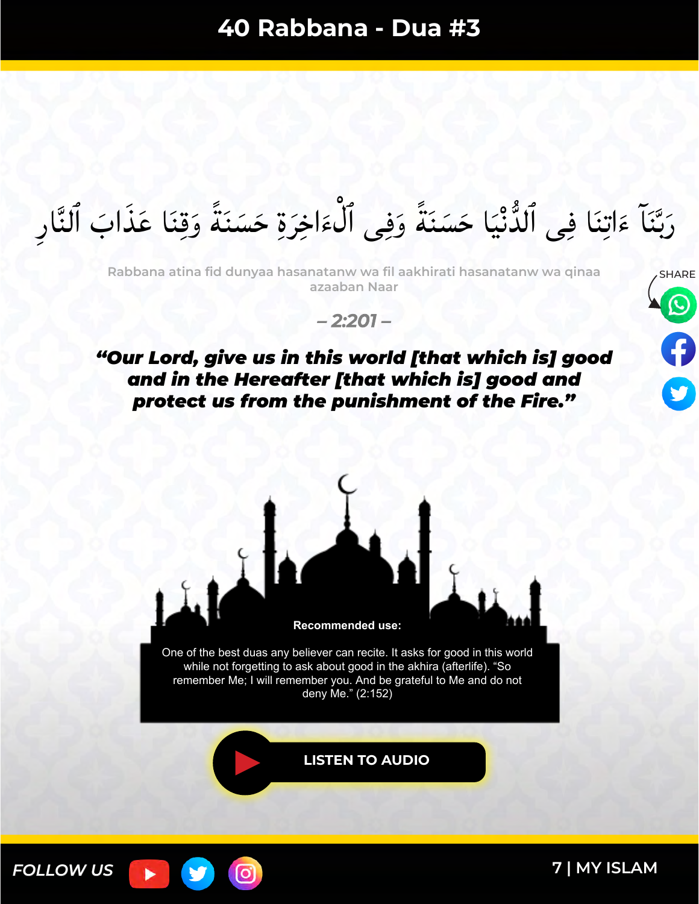رَبَّنَآ ءَاتِنَا فِى ٱلدُّنْيَا حَسَنَةً وَفِى ٱلْءَاخِرَةِ حَسَنَةً وَقِنَا عَذَابَ ٱلنَّارِ ا<br>ما ً  $\ddot{\phantom{0}}$  $\tilde{ }$ ر<br>ر  $\tilde{\epsilon}$ ر<br>م ً  $\ddot{\phantom{0}}$ ە<br>ئا  $\ddot{\phantom{0}}$  $\tilde{\epsilon}$ س<br>ب ب<br>با<br>م َ

**Rabbana atina fid dunyaa hasanatanw wa fil aakhirati hasanatanw wa qinaa azaaban Naar**

*– 2:201 –*

### *"Our Lord, give us in this world [that which is] good and in the Hereafter [that which is] good and protect us from the punishment of the Fire."*





**[7 | MY ISLAM](https://myislam.org/?utm_source=offline&utm_campaign=rabbana-du%27a-book&utm_content=20210127-footer)**

SHARE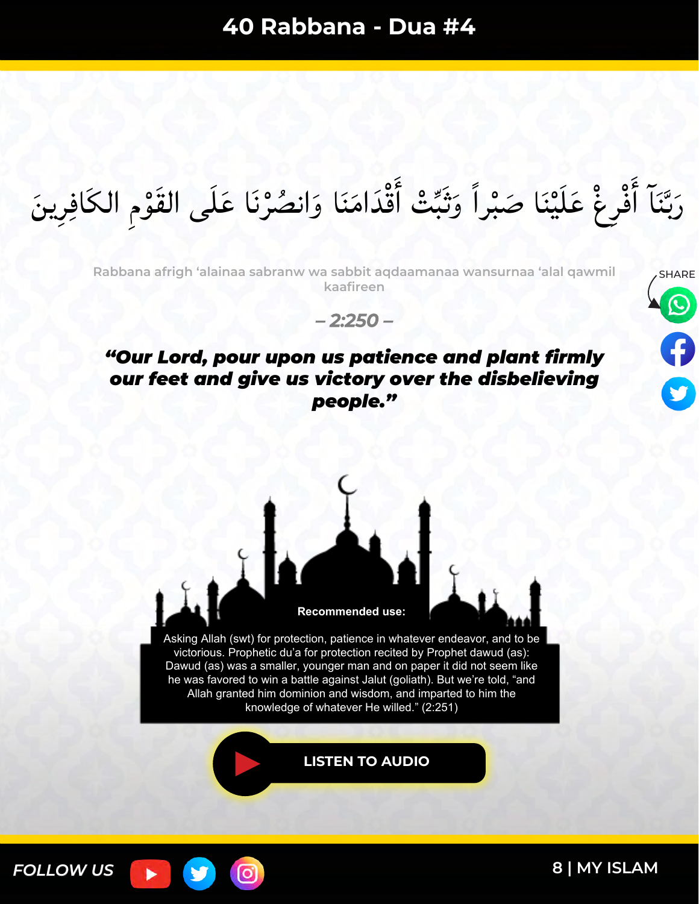#### رَبَّنَا أَفْرِغْ عَلَيْنَا صَبْراً وَثَبِّتْ أَقْدَامَنَا وَانصُرْنَا عَلَى القَوْمِ الكَافِرِينَ ە<br>و ہ<br>ر  $\tilde{\lambda}$  $\ddot{\varepsilon}$ َٔ ا<br>ما ֠<u>׀</u><br>׀  $\frac{1}{2}$  $\zeta$ **م<br>م** َٔ  $\ddot{\phantom{0}}$ بد<br>ب َ

**Rabbana afrigh 'alainaa sabranw wa sabbit aqdaamanaa wansurnaa 'alal qawmil kaafireen**



#### *– 2:250 –*

### *"Our Lord, pour upon us patience and plant firmly our feet and give us victory over the disbelieving people."*



**[LISTEN TO AUDIO](https://youtu.be/grxmMobNNAA)**

[ර]

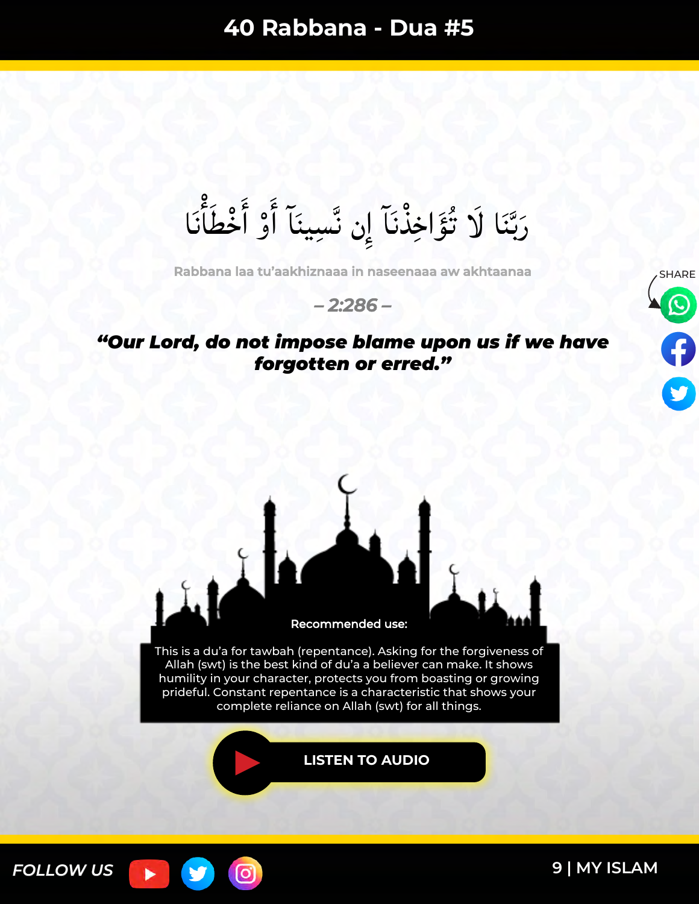رَبَّنَا لَا تُؤَاخِذْنَآ إِن نَّسِينَآ أَوْ أَخْطَأَنَا ہ<br>ا  $\sum_{i=1}^{5}$ ە<br>م َٔ َٔ س<br>ف ْد س<br>ب بکا<br>با ُ ما المسلمان المسلمان المسلمان المسلمان المسلمان المسلمان المسلمان المسلمان المسلمان المسلمان المسلمان المسلم<br>المسلمان المسلمان المسلمان المسلمان المسلمان المسلمان المسلمان المسلمان المسلمان المسلمان المسلمان المسلمان ال

**Rabbana laa tu'aakhiznaaa in naseenaaa aw akhtaanaa**

#### *– 2:286 –*

### *"Our Lord, do not impose blame upon us if we have forgotten or erred."*





၀ြ

*FOLLOW US*

ь

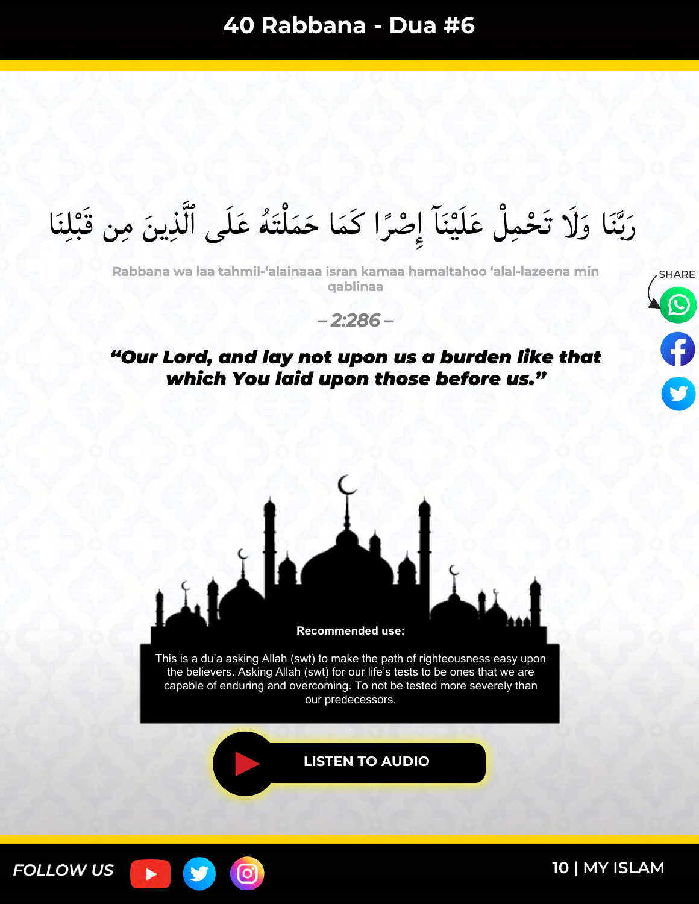رَبَّنَا وَلَا تَحْمِلْ عَلَيْنَآ إِصْرًا كَمَا حَمَلْتَهُ عَلَى ٱلَّذِينَ مِن قَبْلِنَا  $\ddot{\bullet}$ ֩֩֩֩֩֩֩׀  $\lambda$ ً ل `<br>←  $\frac{1}{2}$  $\frac{1}{2}$ **ّ** ֩<mark>֦</mark> ا<br>م س<br>ب بد<br>ب َ

**Rabbana wa laa tahmil-'alainaaa isran kamaa hamaltahoo 'alal-lazeena min qablinaa**

*– 2:286 –*

#### *"Our Lord, and lay not upon us a burden like that which You laid upon those before us."*



our predecessors.

.

[ට]

**[LISTEN TO AUDIO](https://youtu.be/mXgsXTzDHdI)**



**[10 | MY ISLAM](https://myislam.org/?utm_source=offline&utm_campaign=rabbana-du%27a-book&utm_content=20210127-footer)**

SHARE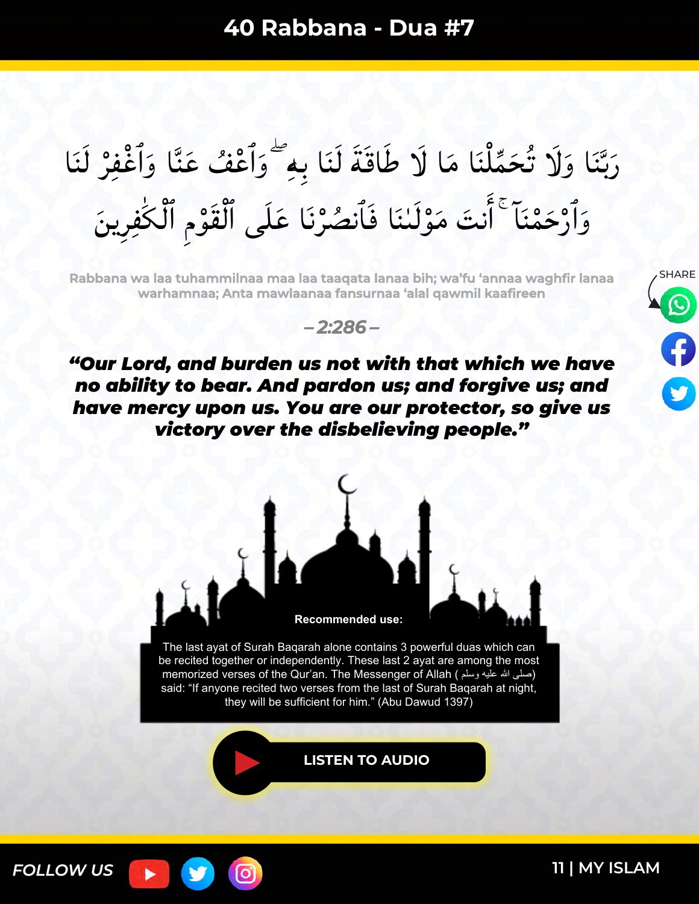#### رَبَّنَا وَلَا تُحَمِّلْنَا مَا لَا طَاقَةَ لَنَا بِهِ ۖ وَأَعْفُ عَنَّا وَأَغْفِرْ لَنَا ہ<br>ز ا<br>ما  $\tilde{\phantom{a}}$ ֩֩֩֩֩֩֩׀֚ ≍<br>⊿ بر<br>ن ا<br>ما س<br>ب بک<br>ب ر<br>م وَأَرْحَمْنَا ۚ أَنتَ مَوْلَنْنَا فَأَنصُرْنَا عَلَى ٱلْقَوْمِ ٱلْكَٰفِرِينَ ا<br>ا ہ<br>و ہ<br>/  $\ddot{\cdot}$ َٔ ہ<br>م ر<br>م

**Rabbana wa laa tuhammilnaa maa laa taaqata lanaa bih; wa'fu 'annaa waghfir lanaa warhamnaa; Anta mawlaanaa fansurnaa 'alal qawmil kaafireen**





*"Our Lord, and burden us not with that which we have no ability to bear. And pardon us; and forgive us; and have mercy upon us. You are our protector, so give us victory over the disbelieving people."*



The last ayat of Surah Baqarah alone contains 3 powerful duas which can be recited together or independently. These last 2 ayat are among the most memorized verses of the Qur'an. The Messenger of Allah ( وسلم علیھ الله صلى ( said: "If anyone recited two verses from the last of Surah Baqarah at night, they will be sufficient for him." (Abu Dawud 1397)

**[LISTEN TO AUDIO](https://youtu.be/Axxaq8V7jNA)**

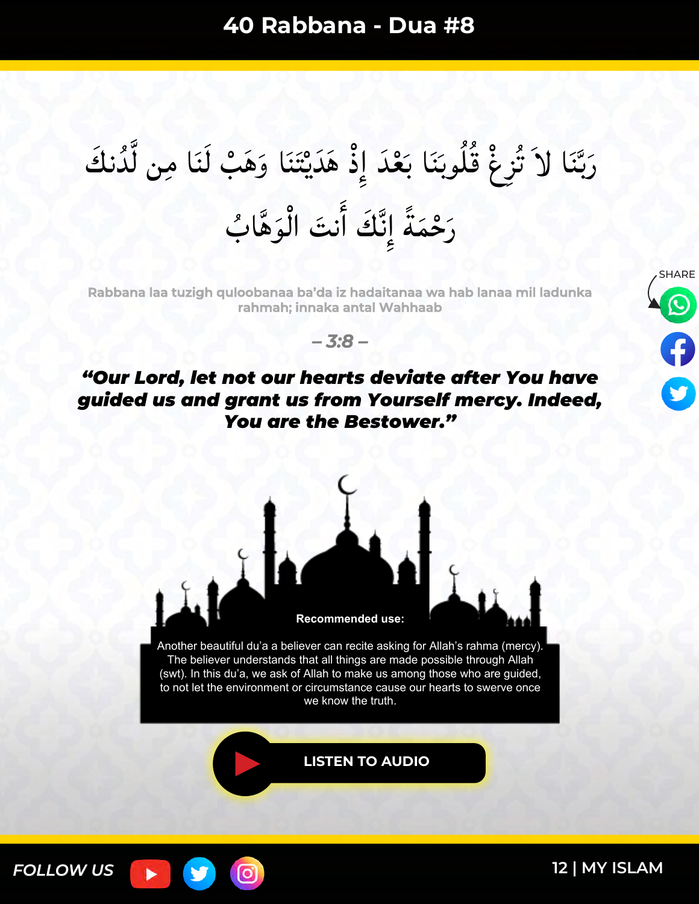#### رَبَّنَا لاَ تُزِغْ قُلُوبَنَا بَعْدَ إِذْ هَدَيْتَنَا وَهَبْ لَنَا مِن لَّدُنكَ س<br>أ  $\tilde{a}$  $\ddot{\phantom{a}}$ اند<br>اند  $\ddot{\phantom{0}}$ <u>֩</u>  $\frac{1}{2}$  $\overline{\phantom{a}}$ م<br>ا  $\zeta$ س<br>ب بر<br>ب َ رَحْمَةً إِنَّكَ أَنتَ الْوَهَّابُ  $\int$  $\tilde{\cdot}$ َٔ ند<br>فر  $\frac{1}{2}$ ً  $\lambda$

**Rabbana laa tuzigh quloobanaa ba'da iz hadaitanaa wa hab lanaa mil ladunka rahmah; innaka antal Wahhaab**

*– 3:8 –*

## *"Our Lord, let not our hearts deviate after You have guided us and grant us from Yourself mercy. Indeed, You are the Bestower."*





Another beautiful du'a a believer can recite asking for Allah's rahma (mercy). The believer understands that all things are made possible through Allah (swt). In this du'a, we ask of Allah to make us among those who are guided, to not let the environment or circumstance cause our hearts to swerve once we know the truth.

**[LISTEN TO AUDIO](https://youtu.be/iFl3ssLP9YM)**

[ර]

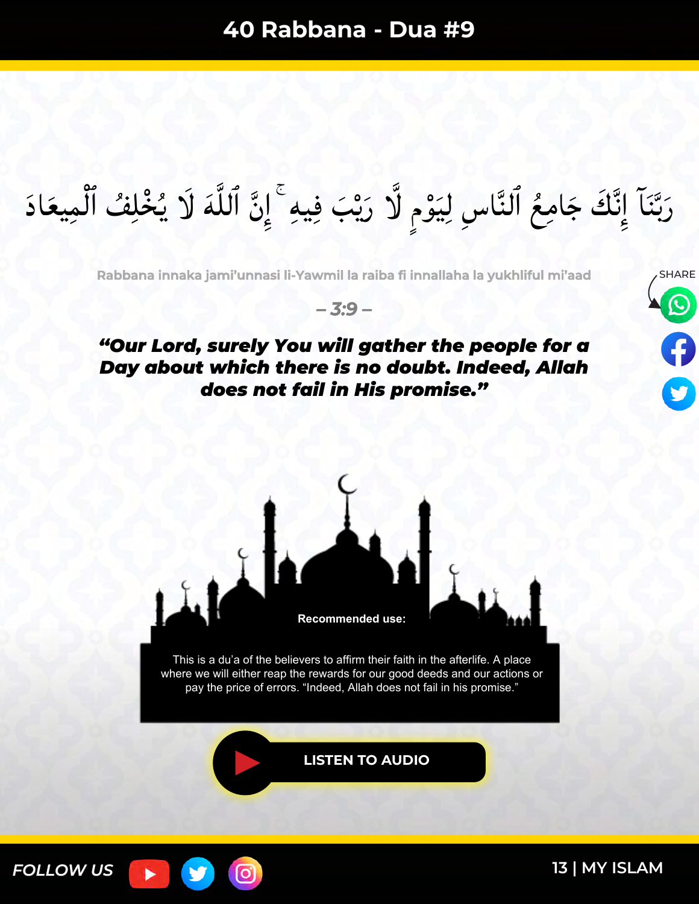رَبَّنَا إِنَّكَ جَامِعُ ٱلنَّاسِ لِيَوْمٍ لَّا رَيْبَ فِيهِ ۚ إِنَّ ٱللَّهَ لَا يُخْلِفُ ٱلْمِيعَادَ ه<br>م بر<br>پاپ ن<br>-<br>- $\frac{1}{2}$ ه<br>پ َ س<br>|<br>| ֩֩֓֝׆<br>֧֧֝֝֜ メラー ند<br>ف  $\frac{1}{2}$  $\ddot{\phantom{0}}$ بک<br>ب َ

**Rabbana innaka jami'unnasi li-Yawmil la raiba fi innallaha la yukhliful mi'aad**

*– 3:9 –*

### *"Our Lord, surely You will gather the people for a Day about which there is no doubt. Indeed, Allah does not fail in His promise."*





This is a du'a of the believers to affirm their faith in the afterlife. A place where we will either reap the rewards for our good deeds and our actions or pay the price of errors. "Indeed, Allah does not fail in his promise."

**[LISTEN TO AUDIO](https://youtu.be/1qyUGP3WnYQ)**

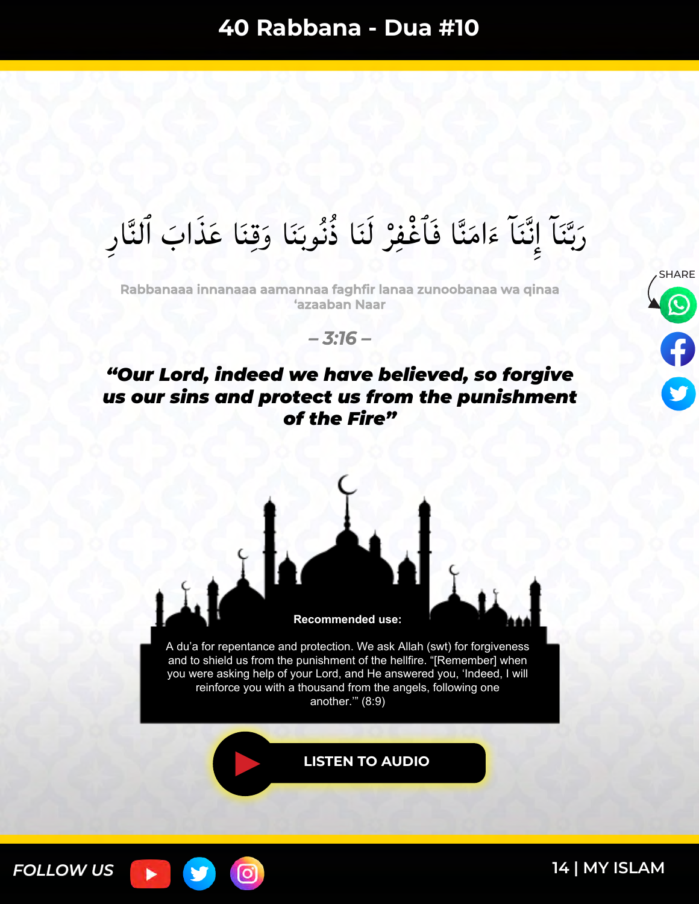#### رَبَّنَاً إِنَّنَاً ءَامَنَّا فَأَغْفِرْ لَنَا ذُنُوبَنَا وَقِنَا عَذَابَ ٱلنَّارِ ا<br>ما  $\overline{\phantom{a}}$ بر<br>نا  $\tilde{\mathbf{r}}$ ں<br>ز  $\overline{\phantom{a}}$  $\tilde{\epsilon}$ بن<br>ف ند<br>ف  $\frac{1}{2}$  $\ddot{\phantom{0}}$ بد<br>ب َ

**Rabbanaaa innanaaa aamannaa faghfir lanaa zunoobanaa wa qinaa 'azaaban Naar**



### *"Our Lord, indeed we have believed, so forgive us our sins and protect us from the punishment of the Fire"*





another.'" (8:9)

**[LISTEN TO AUDIO](https://youtu.be/hTT9tqYmnIQ)**



ြင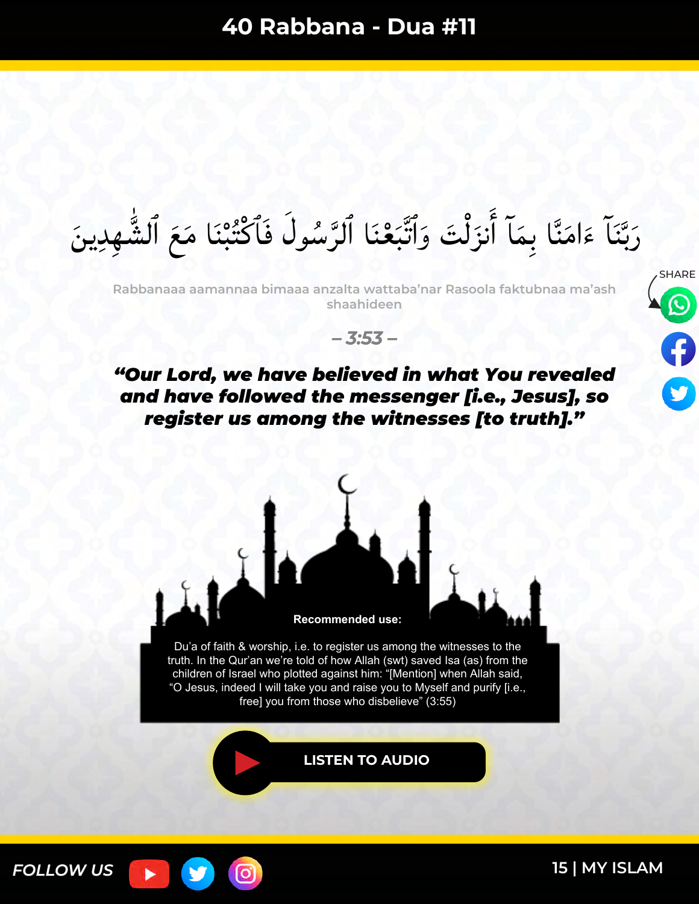رَبَّنَا ءَامَنَّا بِمَا أَنزَلْتَ وَٱتَّبَعْنَا ٱلرَّسُولَ فَٱكْتُبْنَا مَعَ ٱلشُّهِدِينَ **ٌ**<br>بہ  $\frac{1}{2}$ ر<br>م ل  $\int$ ار را<br>ر  $\lambda$  $\tilde{\phantom{a}}$  $\tilde{\mathbf{z}}$ س<br>ب بکا<br>با ُ ما

**Rabbanaaa aamannaa bimaaa anzalta wattaba'nar Rasoola faktubnaa ma'ash shaahideen**

*– 3:53 –*

## *"Our Lord, we have believed in what You revealed and have followed the messenger [i.e., Jesus], so register us among the witnesses [to truth]."*



truth. In the Qur'an we're told of how Allah (swt) saved Isa (as) from the children of Israel who plotted against him: "[Mention] when Allah said, "O Jesus, indeed I will take you and raise you to Myself and purify [i.e., free] you from those who disbelieve" (3:55)

**[LISTEN TO AUDIO](https://youtu.be/LzNn5mqnE0Q)**



**15 [| MY ISLAM](https://myislam.org/?utm_source=offline&utm_campaign=rabbana-du%27a-book&utm_content=20210127-footer)**

SHARE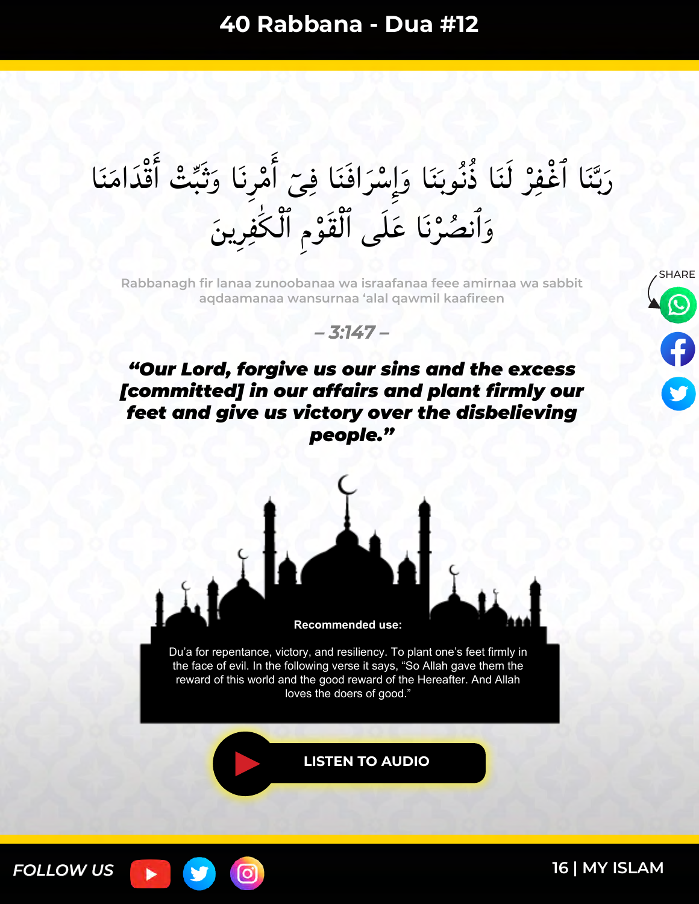ِ أَمْرِنَا وَثَبِّتْ أَقْدَامَنَا ِ<br>مراج  $\tilde{\phantom{a}}$  $\ddot{\varepsilon}$ َٔ ا<br>ما ە<br>∧ َٔ ،<br>.<br>. رَبَّنَا أَغْفِرْ لَنَا ذُنُوبَنَا وَإِسْرَافَنَا فِيَّ  $\overline{\phantom{a}}$ َ ہ<br>ب  $\frac{1}{2}$  $\overline{\phantom{a}}$ ×<br>نا  $\tilde{ }$ ہ<br>/  $\tilde{ }$ س<br>ب بک با ر<br>ما وَأَنصُرْنَا عَلَى ٱلْقَوْمِ ٱلْكَٰفِرِينَ ا<br>ا ہ<br>و ہ<br>/

**Rabbanagh fir lanaa zunoobanaa wa israafanaa feee amirnaa wa sabbit aqdaamanaa wansurnaa 'alal qawmil kaafireen**



*– 3:147 –*

### *"Our Lord, forgive us our sins and the excess [committed] in our affairs and plant firmly our feet and give us victory over the disbelieving people."*



Du'a for repentance, victory, and resiliency. To plant one's feet firmly in the face of evil. In the following verse it says, "So Allah gave them the reward of this world and the good reward of the Hereafter. And Allah loves the doers of good."

[ဝ]

**[LISTEN TO AUDIO](https://youtu.be/ps6-1KzKSgk)**

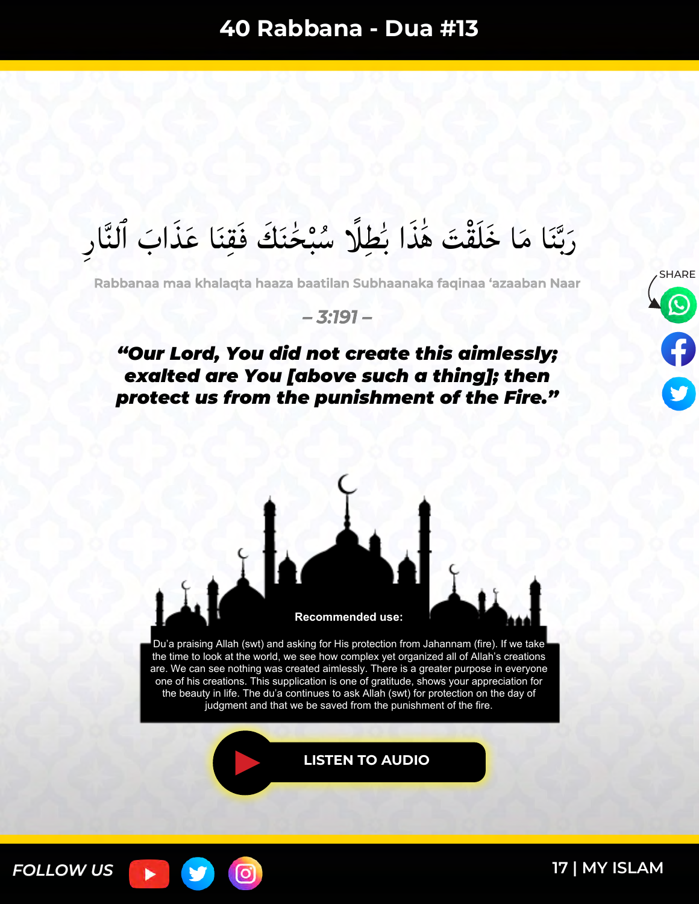#### ً رَبَّنَا مَا خَلَقْتَ هَٰذَا بُطِلًا سُبْخُنَكَ فَقِنَا عَذَابَ ٱلنَّارِ ا دار<br>ا ا<br>ا نہ<br>ا ا<br>استعمال  $\tilde{\lambda}$ س<br>ب بر<br>ب ُ ما المسلمان المسلمان المسلمان المسلمان المسلمان المسلمان المسلمان المسلمان المسلمان المسلمان المسلمان المسلم<br>المسلمان المسلمان المسلمان المسلمان المسلمان المسلمان المسلمان المسلمان المسلمان المسلمان المسلمان المسلمان ال

**Rabbanaa maa khalaqta haaza baatilan Subhaanaka faqinaa 'azaaban Naar**

*– 3:191 –*

#### *"Our Lord, You did not create this aimlessly; exalted are You [above such a thing]; then protect us from the punishment of the Fire."*



judgment and that we be saved from the punishment of the fire.

**[LISTEN TO AUDIO](https://youtu.be/ownue5jMkK4)**



<u>(ဝ</u>

**17 [| MY ISLAM](https://myislam.org/?utm_source=offline&utm_campaign=rabbana-du%27a-book&utm_content=20210127-footer)**

**SHARE**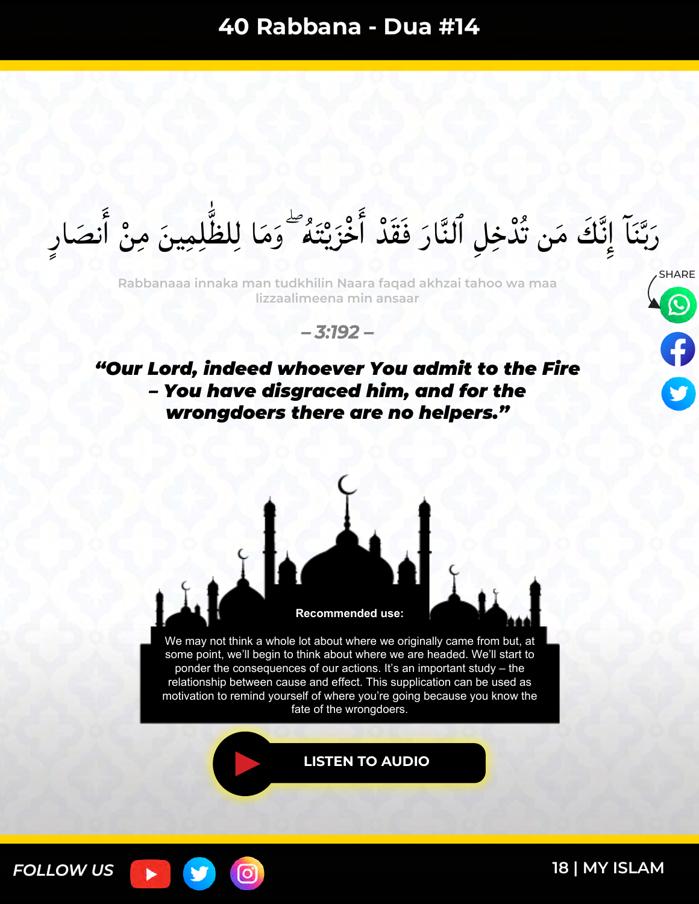رَبَّنَا ۚ إِنَّكَ مَن تُدْخِلِ ٱلنَّارَ فَقَدْ أَخْزَيْتَهُ ۖ وَمَا لِلظَّٰلِمِينَ مِنْ أَنصَارِ  $\frac{1}{2}$  $\overline{\phantom{a}}$ َٔ **¤<br>∙** ֡**֓**ׇׇ֖֦֖֖֖֧֦֦֪ׅ֦֖֧֚֚֚֓֝֓֕֝֬֝֓֓֓֕֓֓֝֝֓֟֝֓֝  $\tilde{\phantom{a}}$  $\ddot{\phantom{0}}$ ه<br>پي ا و را ٥<br>< َٔ ا<br>ما ند<br>ف  $\frac{1}{2}$ w<br>↓<br>◆ بد<br>ب َ

SHARE **Rabbanaaa innaka man tudkhilin Naara faqad akhzai tahoo wa maa lizzaalimeena min ansaar**





*"Our Lord, indeed whoever You admit to the Fire – You have disgraced him, and for the wrongdoers there are no helpers."*



We may not think a whole lot about where we originally came from but, at some point, we'll begin to think about where we are headed. We'll start to ponder the consequences of our actions. It's an important study – the relationship between cause and effect. This supplication can be used as motivation to remind yourself of where you're going because you know the fate of the wrongdoers.

**[LISTEN TO AUDIO](https://youtu.be/oDIjy6sZqzo)**

ြင

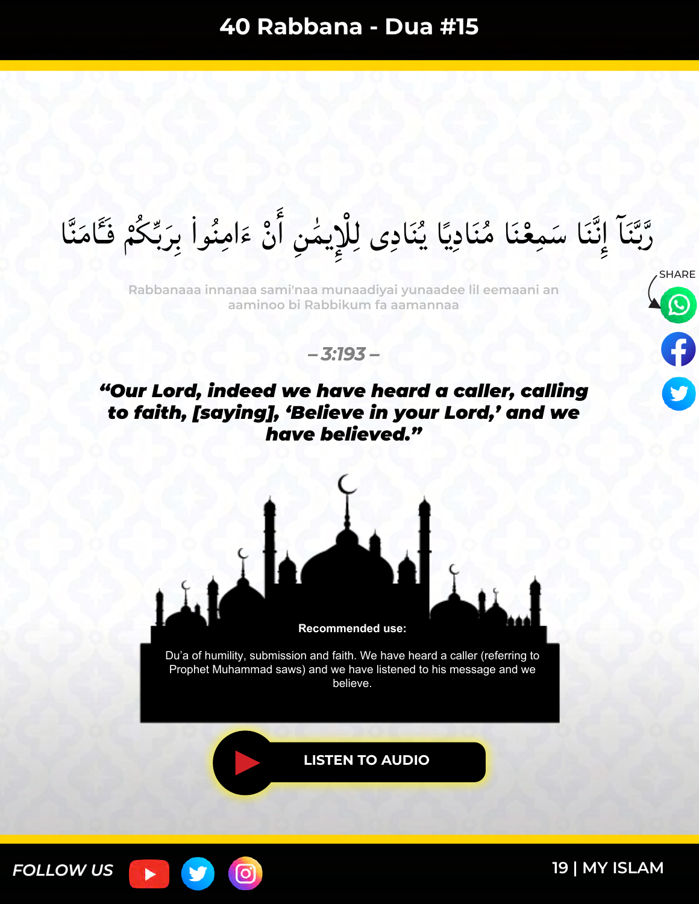رَّبَّنَا إِنَّنَا سَمِعْنَا مُنَادِيًا يُنَادِى لِلْإِيمَٰنِ أَنْ ءَامِنُواْ بِرَبِّكُمْ فَـَامَنَّا  $\tilde{\lambda}$  $\ddot{\bullet}$ بو<br>ب َ  $\tilde{\epsilon}$ ە<br>ب َٔ ا<br>ا  $\lambda$ ا دیا<br>ا ×<br>بـ•  $\ddot{\phantom{0}}$  $\overline{\mathbf{r}}$ ∕<br>∕ ٥<br>۶ ن<br>ف ند<br>ف  $\frac{1}{2}$ س<br>ب بک<br>ب س<br>ر

**Rabbanaaa innanaa sami'naa munaadiyai yunaadee lil eemaani an aaminoo bi Rabbikum fa aamannaa**



*– 3:193 –*

### *"Our Lord, indeed we have heard a caller, calling to faith, [saying], 'Believe in your Lord,' and we have believed."*



believe.

**[LISTEN TO AUDIO](https://youtu.be/lXsYhBWj8bo)**

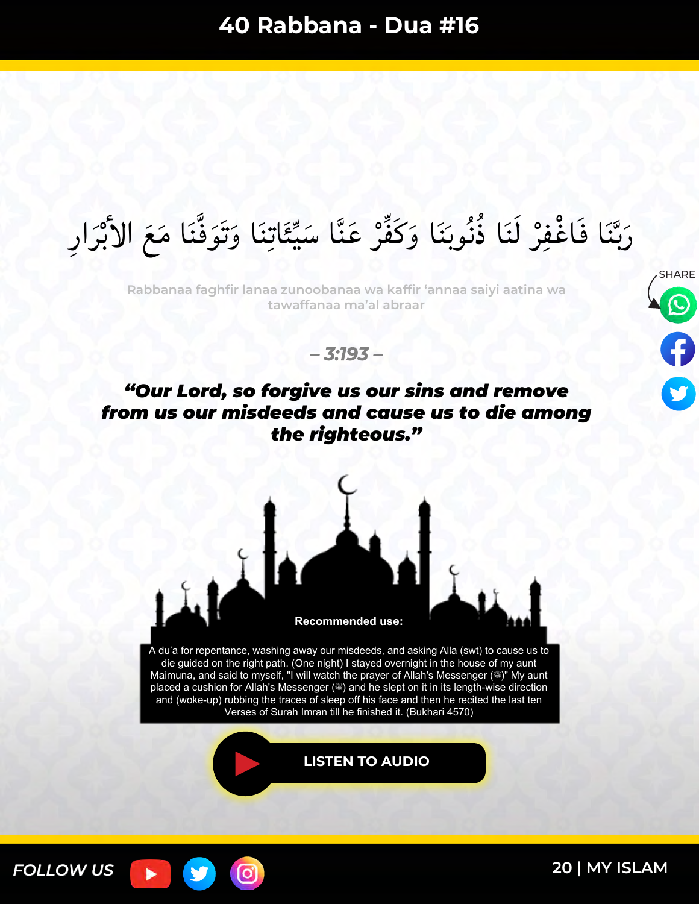#### رَبَّنَا فَاغْفِرْ لَنَا ذُنُوبَنَا وَكَفِّرْ عَنَّا سَيِّئَاتِنَا وَتَوَفَّنَا مَعَ الأَبْرَارِ ا<br>ما ّ0<br>∙<br>∙ بہ<br>ب ن<br>م ر<br>ي ا<br>ما  $\frac{1}{2}$  $\overline{\phantom{a}}$ بر<br>نا ا دیا<br>ا ہ<br>ر س<br>ب بد<br>ب ا<br>ما

**Rabbanaa faghfir lanaa zunoobanaa wa kaffir 'annaa saiyi aatina wa tawaffanaa ma'al abraar**



*– 3:193 –*

### *"Our Lord, so forgive us our sins and remove from us our misdeeds and cause us to die among the righteous."*



A du'a for repentance, washing away our misdeeds, and asking Alla (swt) to cause us to die guided on the right path. (One night) I stayed overnight in the house of my aunt Maimuna, and said to myself, "I will watch the prayer of Allah's Messenger (3)" My aunt placed a cushion for Allah's Messenger (. and he slept on it in its length-wise direction and (woke-up) rubbing the traces of sleep off his face and then he recited the last ten Verses of Surah Imran till he finished it. (Bukhari 4570)

ြင

**[LISTEN TO AUDIO](https://youtu.be/bAcK6qk1LK0)**

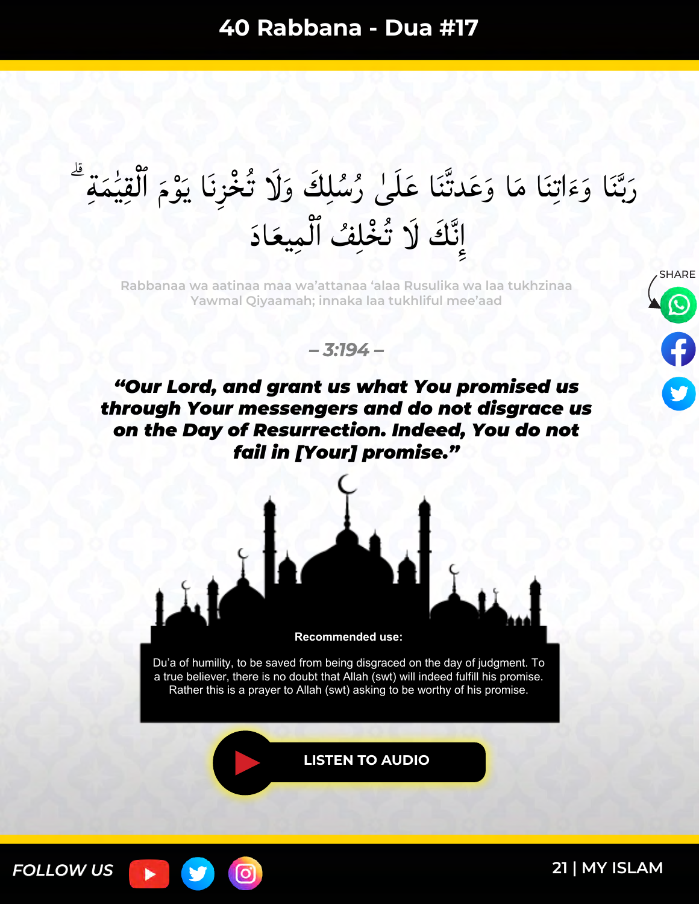رَبَّنَا وَءَاتِنَا مَا وَعَدتَّنَا عَلَىٰ رُسُلِكَ وَلَا تُخْزِنَا يَوْمَ ٱلْقِيَٰمَةِ ۖ  $\lambda$ ا<br>ا  $\frac{1}{2}$  $\tilde{a}$ ا<br>ما س<br>ز  $\tilde{\lambda}$  $\tilde{\epsilon}$ س<br>ب بد<br>ب َ َكَ لَا تُخْلِفُ ٱلْمِيعَادَ ند<br>ف ٕ ِا

**Rabbanaa wa aatinaa maa wa'attanaa 'alaa Rusulika wa laa tukhzinaa Yawmal Qiyaamah; innaka laa tukhliful mee'aad**





*"Our Lord, and grant us what You promised us through Your messengers and do not disgrace us on the Day of Resurrection. Indeed, You do not fail in [Your] promise."*



Du'a of humility, to be saved from being disgraced on the day of judgment. To a true believer, there is no doubt that Allah (swt) will indeed fulfill his promise. Rather this is a prayer to Allah (swt) asking to be worthy of his promise.

**[LISTEN TO AUDIO](https://youtu.be/peD0t7mvm3k)**



[O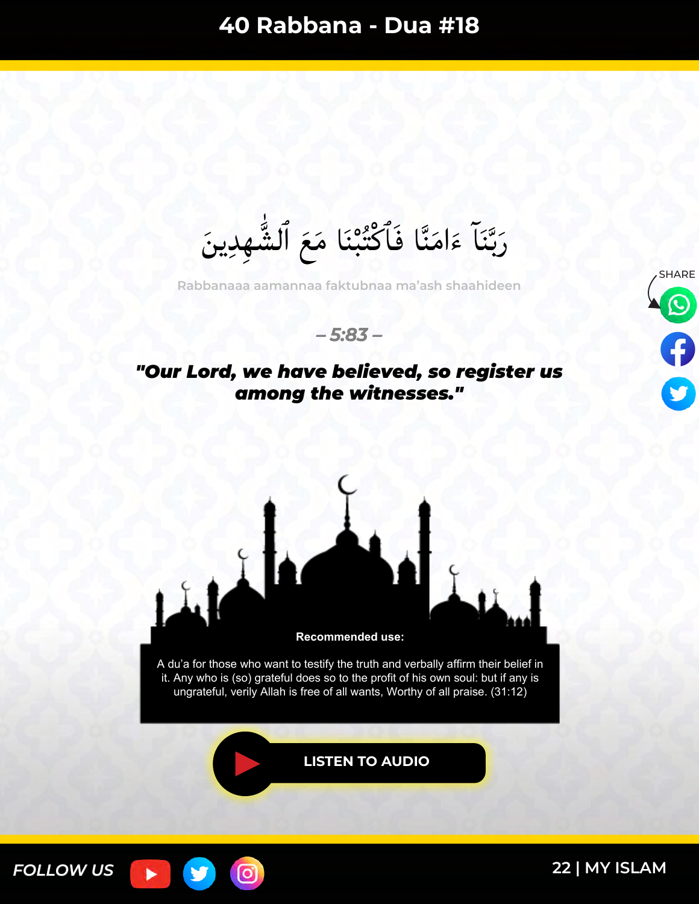رَبَّنَا ءَامَنَّا فَأَكْتُبْنَا مَعَ ٱلشُّهِدِينَ **ٌ**<br>بہ  $\frac{1}{2}$  $\tilde{\phantom{a}}$  $\tilde{\epsilon}$ س<br>ب بد<br>ب َ

**Rabbanaaa aamannaa faktubnaa ma'ash shaahideen**





## *"Our Lord, we have believed, so register us among the witnesses."*



**[LISTEN TO AUDIO](https://youtu.be/aEfemrYiPVk)**

ම

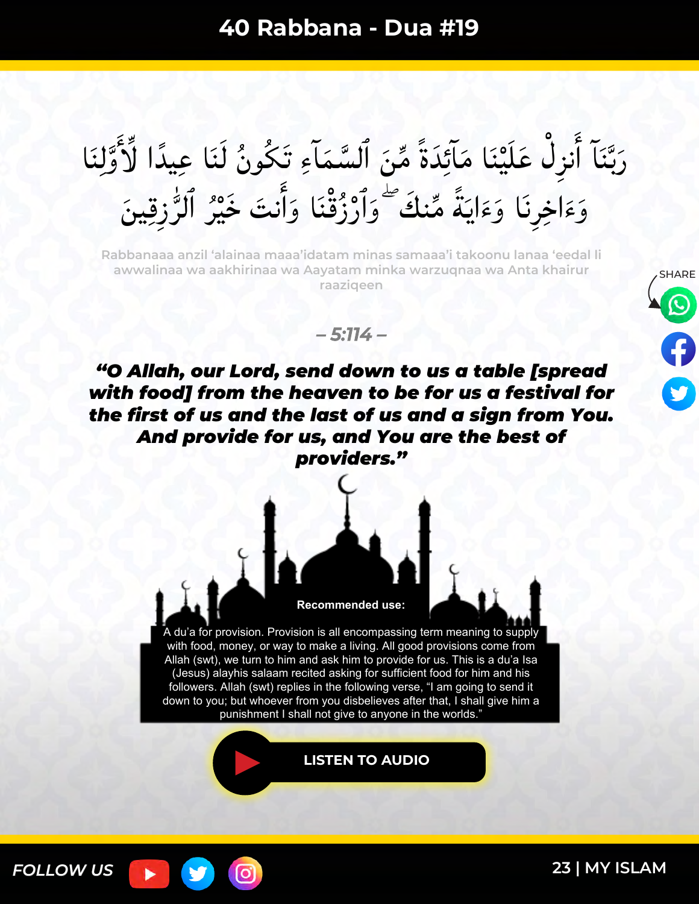رَبَّنَا أُنزِلْ عَلَيْنَا مَآئِدَةً مِّنَ ٱلسَّمَاءِ تَكُونُ لَنَا عِيدًا لِّأَوَّلِنَا ند<br>فر َنْہُمُ مُ ر<br>را  $\tilde{ }$ بر<br>ف  $\lambda$ w<br>⊌  $\tilde{\zeta}$  $\tilde{\phantom{a}}$ ٰ<br>ا ْ َٔ س<br>ب بر<br>ب َ وَءَاخِرِنَا وَءَايَنَّهُ مِّنكَ ۖ وَٱرْزُقْنَا وَأَنتَ خَيْرُ ٱلرُّزِقِينَ ا<br>ا ن<br>م  $\frac{1}{2}$  $\tilde{\cdot}$ َٔ ا ا<br>م **ہ<br>م** ا<br>ما ≍<br>⊀ ً  $\ddot{\phantom{0}}$  $\tilde{\epsilon}$  $\tilde{\epsilon}$ 

**Rabbanaaa anzil 'alainaa maaa'idatam minas samaaa'i takoonu lanaa 'eedal li awwalinaa wa aakhirinaa wa Aayatam minka warzuqnaa wa Anta khairur raaziqeen**





*"O Allah, our Lord, send down to us a table [spread with food] from the heaven to be for us a festival for the first of us and the last of us and a sign from You. And provide for us, and You are the best of providers."*



A du'a for provision. Provision is all encompassing term meaning to supply with food, money, or way to make a living. All good provisions come from Allah (swt), we turn to him and ask him to provide for us. This is a du'a Isa (Jesus) alayhis salaam recited asking for sufficient food for him and his followers. Allah (swt) replies in the following verse, "I am going to send it down to you; but whoever from you disbelieves after that, I shall give him a punishment I shall not give to anyone in the worlds."

**[LISTEN TO AUDIO](https://youtu.be/BQkhKMj3uLg)**



[O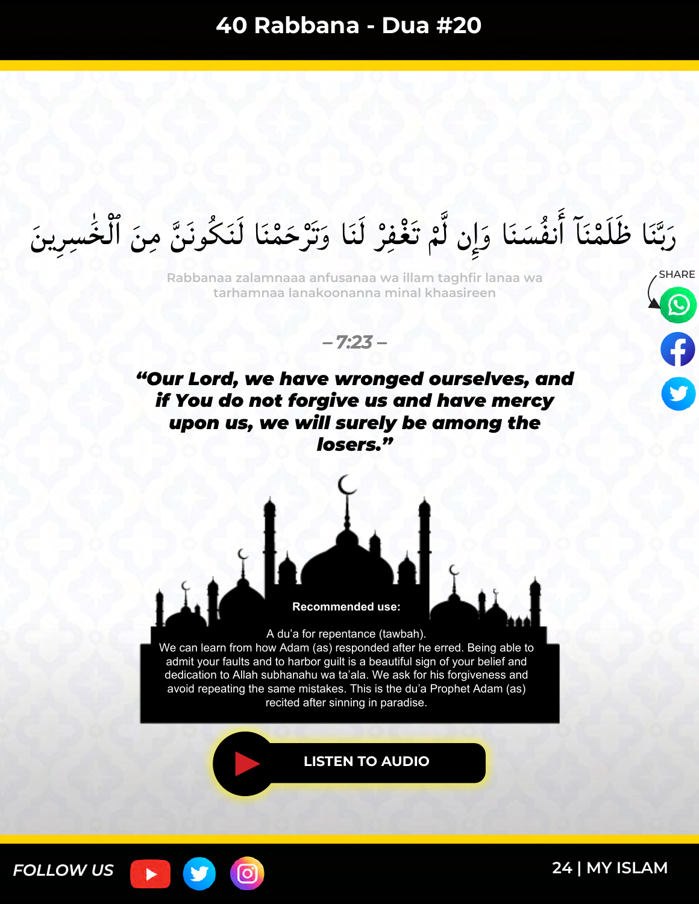رَبَّنَا ظَلَمْنَآ أَنفُسَنَا وَإِن لَّمْ تَغْفِرْ لَنَا وَتَرْحَمْنَا لَنَكُونَنَّ مِنَ ٱلْخَسِرِينَ ا<br>ا  $\ddot{\phantom{0}}$ ا دیگر<br>افغانستان ۵<br>م ر<br>م ہ<br>/  $\ddot{\bullet}$ س<br>ر  $\frac{1}{2}$ بر<br>م َٔ ۵<br>م ا دار<br>ا  $\ddot{\phantom{0}}$ بد<br>ب َ

Rabbanaa zalamnaaa anfusanaa wa illam taghfir lanaa wa **SHARE tarhamnaa lanakoonanna minal khaasireen**



*"Our Lord, we have wronged ourselves, and if You do not forgive us and have mercy upon us, we will surely be among the losers."*



ြင



A du'a for repentance (tawbah). We can learn from how Adam (as) responded after he erred. Being able to admit your faults and to harbor guilt is a beautiful sign of your belief and dedication to Allah subhanahu wa ta'ala. We ask for his forgiveness and avoid repeating the same mistakes. This is the du'a Prophet Adam (as) recited after sinning in paradise.

**[LISTEN TO AUDIO](https://youtu.be/mRsqNHqT1hs)**

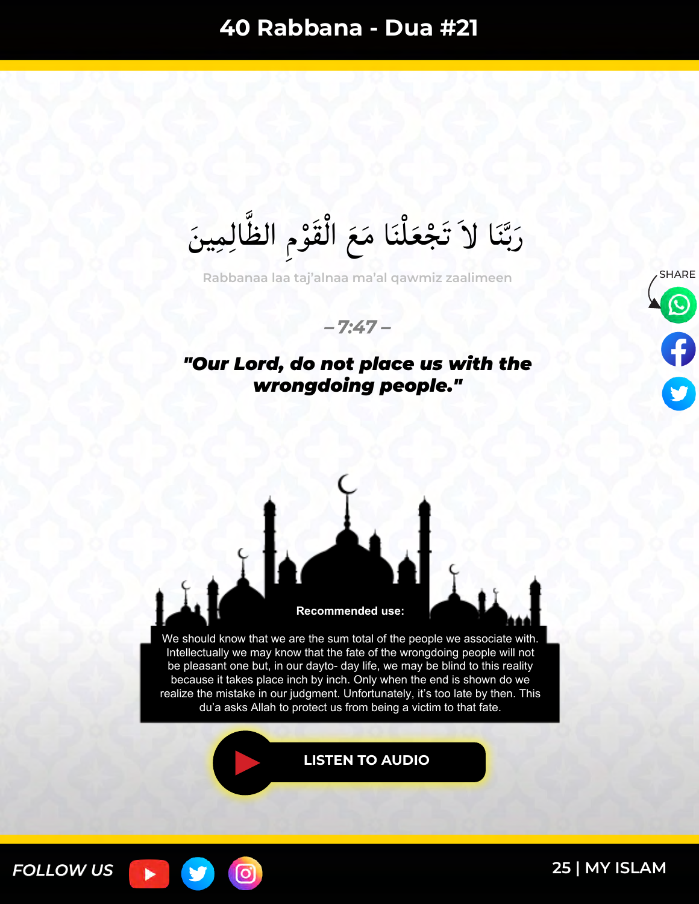رَبَّنَا لاَ تَجْعَلْنَا مَعَ الْقَوْمِ الظَّالِمِينَ س<br>م ە<br>و  $\int$ ֩֩֩֩֩֩֩׀  $\tilde{\mathbf{S}}$ ֩<mark>֦</mark>  $\ddot{\phantom{0}}$ بر<br>ب ِرِ<br>ُم

Rabbanaa laa taj'alnaa ma'al qawmiz zaalimeen **SHARE** 

*– 7:47 –*

### *"Our Lord, do not place us with the wrongdoing people."*





We should know that we are the sum total of the people we associate with. Intellectually we may know that the fate of the wrongdoing people will not be pleasant one but, in our dayto- day life, we may be blind to this reality because it takes place inch by inch. Only when the end is shown do we realize the mistake in our judgment. Unfortunately, it's too late by then. This du'a asks Allah to protect us from being a victim to that fate.

**[LISTEN TO AUDIO](https://youtu.be/iUHoDr6d7mM)**

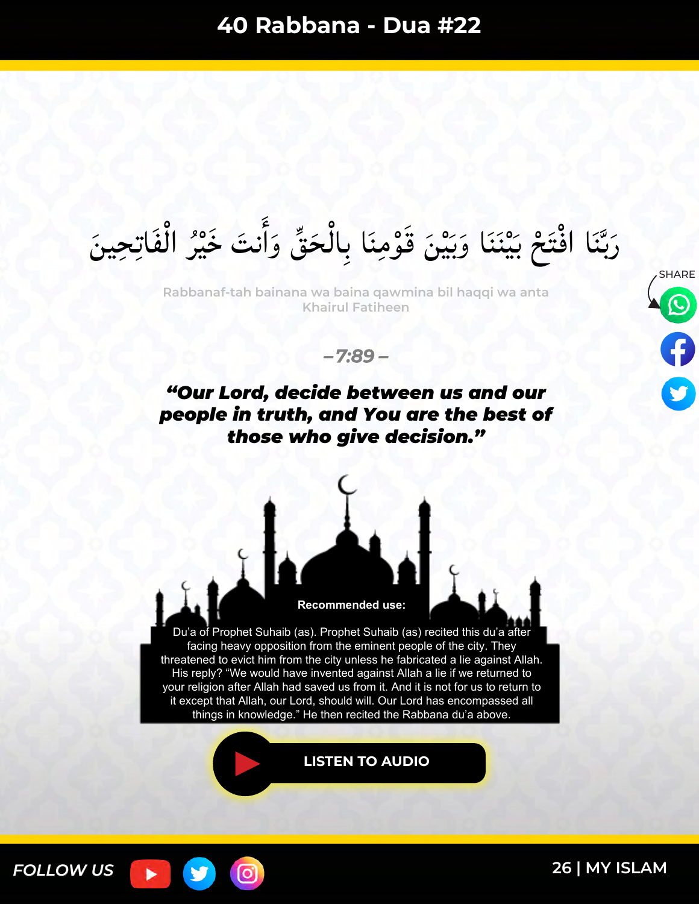رَبَّنَا افْتَحْ بَيْنَنَا وَبَيْنَ قَوْمِنَا بِالْحَقِّ وَأَنتَ خَيْرُ الْفَاتِحِينَ  $\int$ بر<br>ر **ّا**<br>ا  $\tilde{\cdot}$ َٔ ا ا<br>ما  $\sum_{k=1}^{N}$  $\int$ ە<br>و َ اِسِ ب ا<br>ما ِن<br>منذ ٰ<br>ا  $\frac{1}{2}$  $\tilde{ }$  $\ddot{\phantom{0}}$ بر<br>ب ِ<br>ُما

**Rabbanaf-tah bainana wa baina qawmina bil haqqi wa anta Khairul Fatiheen**



*– 7:89 –*

## *"Our Lord, decide between us and our people in truth, and You are the best of those who give decision."*



Du'a of Prophet Suhaib (as). Prophet Suhaib (as) recited this du'a after facing heavy opposition from the eminent people of the city. They threatened to evict him from the city unless he fabricated a lie against Allah. His reply? "We would have invented against Allah a lie if we returned to your religion after Allah had saved us from it. And it is not for us to return to it except that Allah, our Lord, should will. Our Lord has encompassed all things in knowledge." He then recited the Rabbana du'a above.

**[LISTEN TO AUDIO](https://youtu.be/LrtMq1dlzvA)**

<u>(୦)</u>

*FOLLOW US*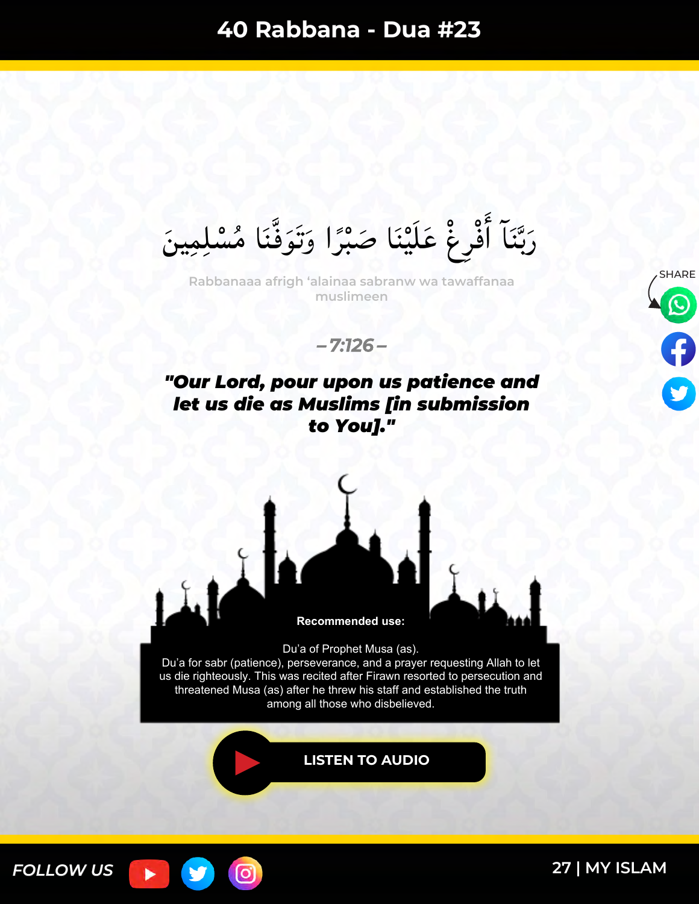رَبَّنَا أَفْرِغْ عَلَيْنَا صَبْرًا وَتَوَفَّنَا مُسْلِمِينَ  $\ddot{\bullet}$ ر<br>ي ر<br>م ً **ّ**<br>مٰ مُ  $\frac{1}{2}$  $\zeta$ ە<br>م َٔ  $\ddot{\phantom{0}}$ بد<br>ب َ

SHARE **Rabbanaaa afrigh 'alainaa sabranw wa tawaffanaa muslimeen**

*– 7:126 –*

#### *"Our Lord, pour upon us patience and let us die as Muslims [in submission to You]."*



၀ြ

Du'a of Prophet Musa (as). Du'a for sabr (patience), perseverance, and a prayer requesting Allah to let us die righteously. This was recited after Firawn resorted to persecution and threatened Musa (as) after he threw his staff and established the truth among all those who disbelieved.

**[LISTEN TO AUDIO](https://youtu.be/NqqMtQPxWFs)**

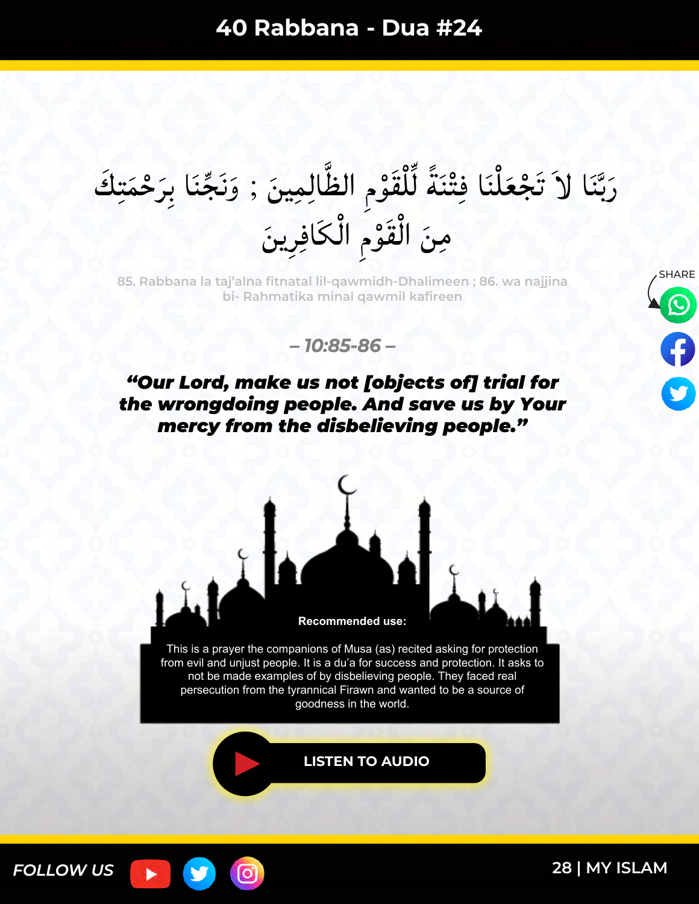رَبَّنَا لاَ تَجْعَلْنَا فِتْنَةً لِّلْقَوْمِ الظَّالِمِينَ ; وَنَجِّنَا بِرَحْمَتِكَ  $\lambda$ E<br>P<br>P<br>P نَ ا<br>ما  $\tilde{l}$ ە<br>و ֩֩֩֩֩֩֩׀  $\sum_{i=1}^{n}$ ً ا دا<br>ا  $\frac{1}{2}$  $\ddot{\phantom{0}}$ ֩֩֩֩֩֩֩׀  $\tilde{\mathbf{S}}$ ْ س<br>ب بد<br>ب ا<br>ما مِنَ الْقَوْمِ الْكَافِرِينَ  $\int$ ہ<br>و  $\int$ 

SHARE **85. Rabbana la taj'alna fitnatal lil-qawmidh-Dhalimeen ; 86. wa najjina bi- Rahmatika minal qawmil kafireen**



*– 10:85-86 –*

### *"Our Lord, make us not [objects of] trial for the wrongdoing people. And save us by Your mercy from the disbelieving people."*



This is a prayer the companions of Musa (as) recited asking for protection from evil and unjust people. It is a du'a for success and protection. It asks to not be made examples of by disbelieving people. They faced real persecution from the tyrannical Firawn and wanted to be a source of goodness in the world.

**[LISTEN TO AUDIO](https://youtu.be/YEm2x6bchA0)**

0

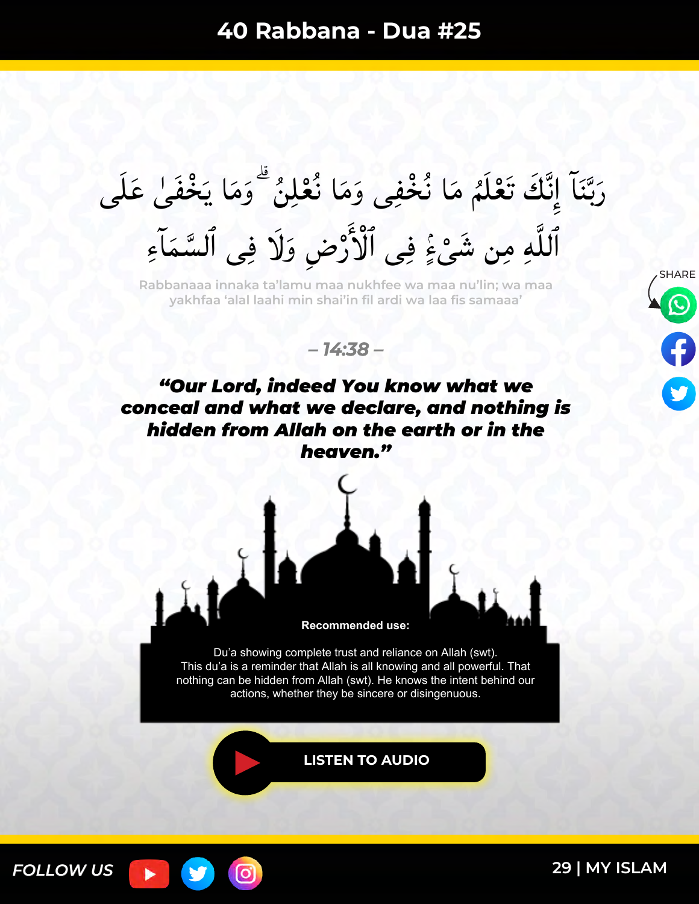رَبَّنَاً إِنَّكَ تَعْلَمُ مَا نُخْفِى وَمَا نُعْلِنُ ۖ وَمَا يَخْفَىٰ عَلَى ٥.<br><  $\overline{\phantom{a}}$  $\tilde{\phantom{a}}$  $\ddot{\cdot}$ ٥<br>۶  $\tilde{\phantom{a}}$  $\tilde{\phantom{a}}$  $\frac{1}{2}$ ٥<br>۶ ند<br>ف  $\frac{1}{2}$  $\ddot{\phantom{0}}$ بر<br>ب َ ٱللَّهِ مِن شَىْءٍۢ فِى ٱلْأَرْضِ وَلَا فِى ٱلسَّمَاَءِ  $\lambda$ ا<br>م ّ<br>ْ<br>ْ نم∙<br>ٌ .<br>;<br>; م م $\frac{1}{2}$ ْ

**Rabbanaaa innaka ta'lamu maa nukhfee wa maa nu'lin; wa maa yakhfaa 'alal laahi min shai'in fil ardi wa laa fis samaaa'**

*– 14:38 –*



**Recommended use:**

Du'a showing complete trust and reliance on Allah (swt). This du'a is a reminder that Allah is all knowing and all powerful. That nothing can be hidden from Allah (swt). He knows the intent behind our actions, whether they be sincere or disingenuous.

**[LISTEN TO AUDIO](https://youtu.be/OX2sWPPRMU4)**



o,

**SHARE**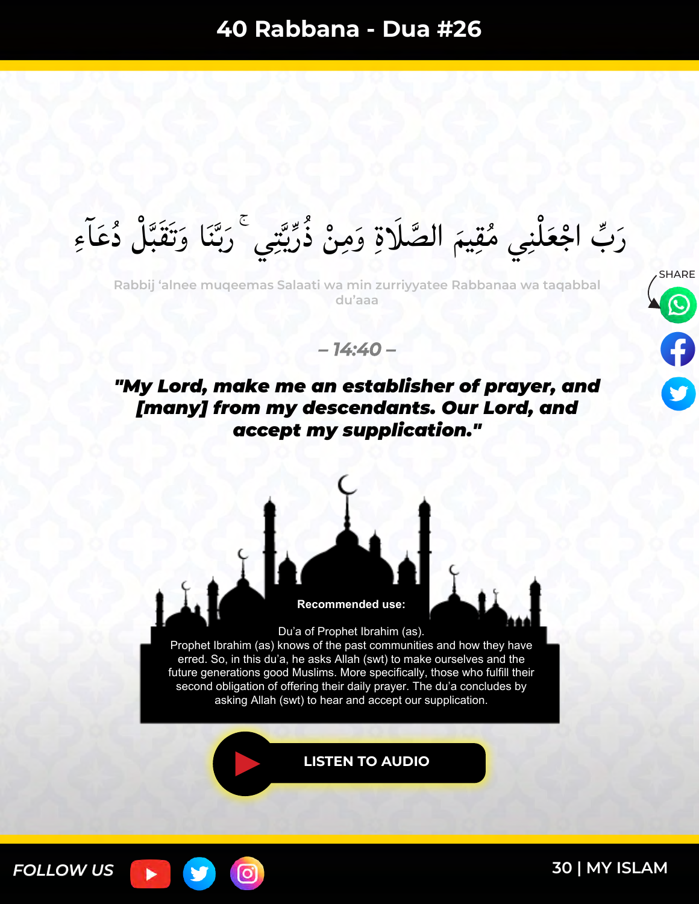الصَّلَاةِ وَمِنْ ذُرِّيَّتِي ۚ رَبَّنَا وَتَقَبَّلْ دُعَآءِ ە<br>/  $\ddot{\bullet}$ ا<br>ما س<br>ب بکا<br>بان َ  $\ddot{\phantom{0}}$ يد<br>پ بر<br>ر ×<br>د م **ّ**<br>• ا<br>م مَ الصَّ رَبٍّ اجْعَلْنِي مُقِيمَ ∕<br>∕ ֧֧֝֩֩֩֩֩֩֩֓֓֓**֓**  $\tilde{\bm{S}}$ 

**Rabbij 'alnee muqeemas Salaati wa min zurriyyatee Rabbanaa wa taqabbal du'aaa**



*– 14:40 –*

*"My Lord, make me an establisher of prayer, and [many] from my descendants. Our Lord, and accept my supplication."*



0



Du'a of Prophet Ibrahim (as). Prophet Ibrahim (as) knows of the past communities and how they have erred. So, in this du'a, he asks Allah (swt) to make ourselves and the future generations good Muslims. More specifically, those who fulfill their second obligation of offering their daily prayer. The du'a concludes by asking Allah (swt) to hear and accept our supplication.

**[LISTEN TO AUDIO](https://youtu.be/7tdq0welkFA)**

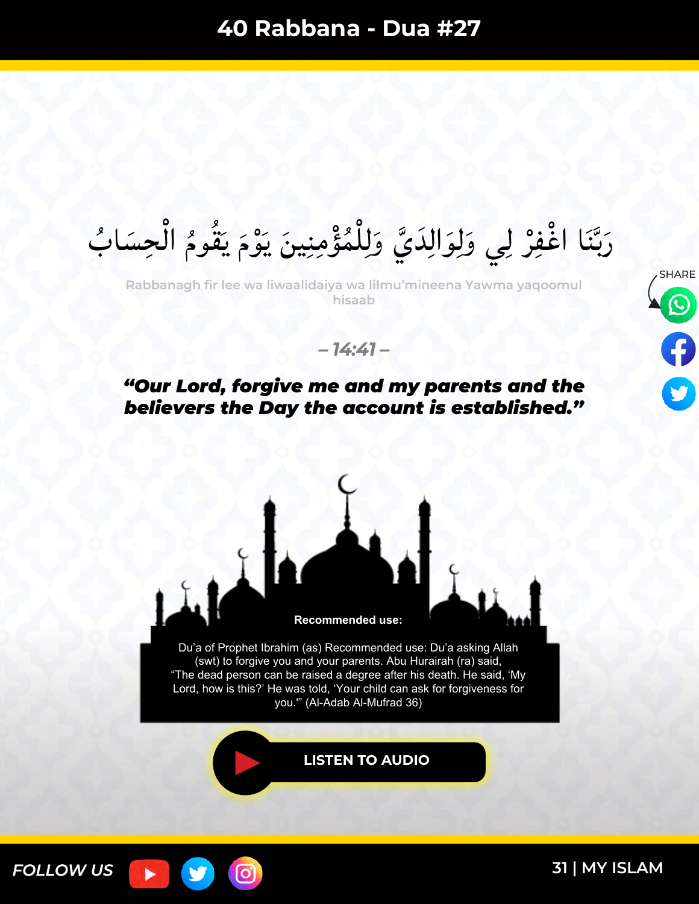رَبَّنَا اغْفِرْ لِي وَلِوَالِدَيَّ وَلِلْمُؤْمِنِينَ يَوْمَ يَقُومُ الْجِسَابُ  $\int$ ×<br>م ×<br>مم  $\ddot{\phantom{0}}$  $\tilde{a}$ ا<br>ما ر<br>ي ا<br>ما ہ<br>ز  $\ddot{\phantom{0}}$ س<br>ب بد<br>ب َ

**Rabbanagh fir lee wa liwaalidaiya wa lilmu'mineena Yawma yaqoomul hisaab**



*– 14:41 –*

### *"Our Lord, forgive me and my parents and the believers the Day the account is established."*



o,



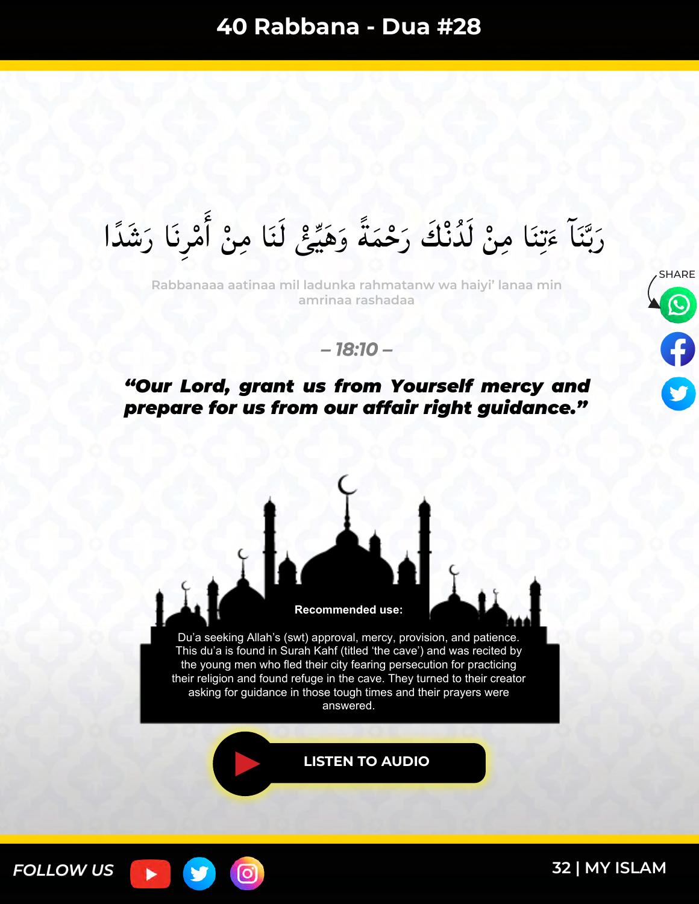رَبَّنَا مَتِنَا مِنْ لَدُّنْكَ رَحْمَةً وَهَيِّئْ لَنَا مِنْ أَمْرِنَا رَشَدًا ُ<br>ُمُ )<br>∧ َٔ **ื**  $\tilde{\mathbf{r}}$ ً  $\lambda$  $\ddot{\phantom{0}}$ ا دا<br>ا  $\tilde{\epsilon}$ س<br>ب بد<br>ب َ

**Rabbanaaa aatinaa mil ladunka rahmatanw wa haiyi' lanaa min amrinaa rashadaa**



*– 18:10 –*

### *"Our Lord, grant us from Yourself mercy and prepare for us from our affair right guidance."*



ြ

*FOLLOW US*

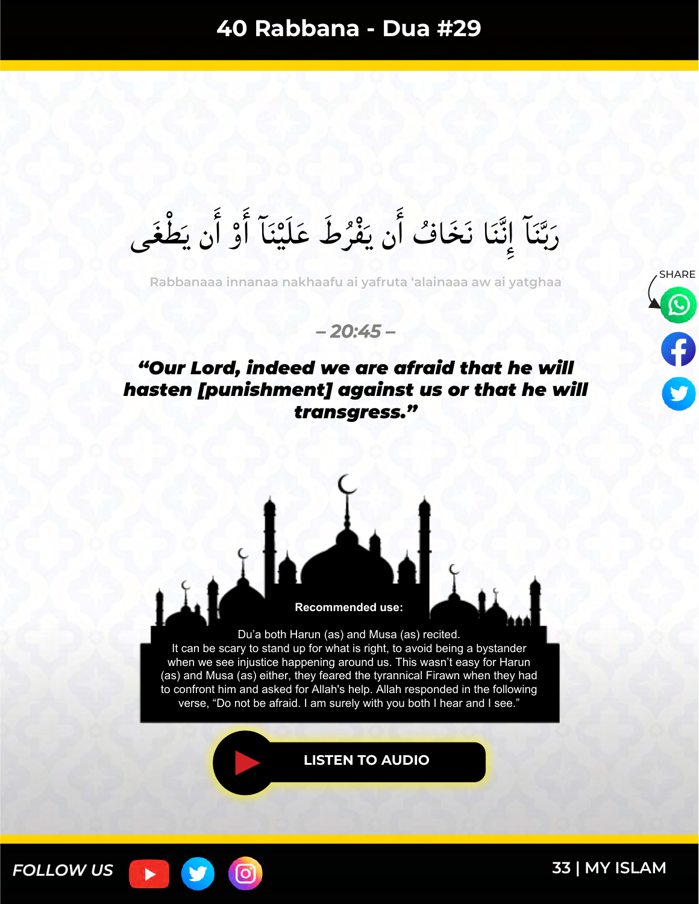رَبَّنَا إِنَّنَا نَخَافُ أَن يَفْرُطَ عَلَيْنَا أَوْ أَن يَطْغَى  $\int$  $\overline{\phantom{a}}$ َٔ **ّا**<br>ا بر<br>ر **م<br>م**  $\overline{\phantom{a}}$ س<br>ف نک<br>فر  $\frac{1}{2}$ س<br>ب بک<br>ب َ

SHARE **Rabbanaaa innanaa nakhaafu ai yafruta 'alainaaa aw ai yatghaa**

*– 20:45 –*

## *"Our Lord, indeed we are afraid that he will hasten [punishment] against us or that he will transgress."*



It can be scary to stand up for what is right, to avoid being a bystander when we see injustice happening around us. This wasn't easy for Harun (as) and Musa (as) either, they feared the tyrannical Firawn when they had to confront him and asked for Allah's help. Allah responded in the following verse, "Do not be afraid. I am surely with you both I hear and I see."

**[LISTEN TO AUDIO](https://youtu.be/0iPqzw4d0Lo)**



(ဝ)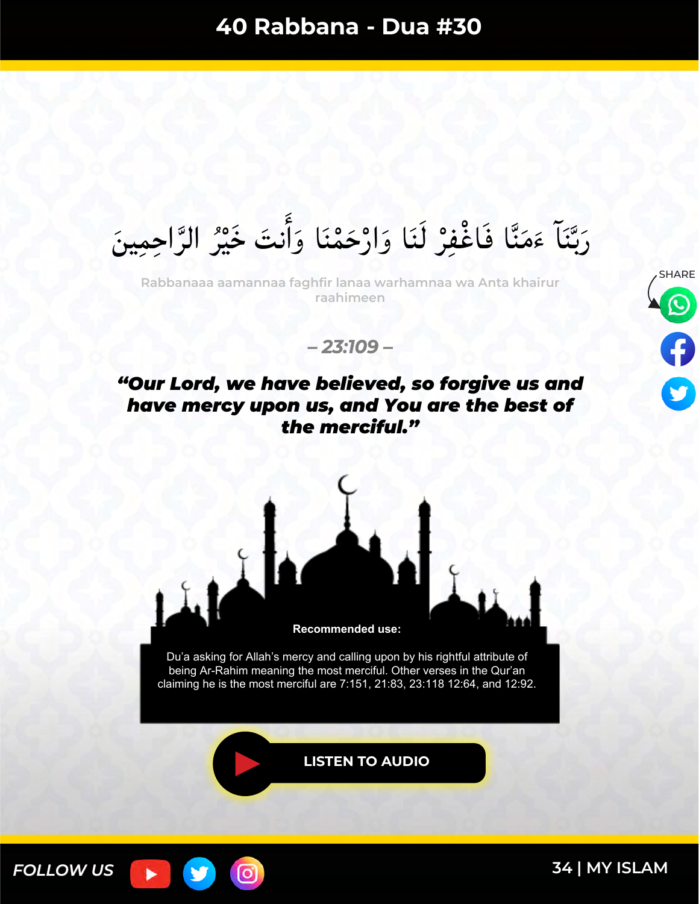رَبَّنَا ءَمَنَّا فَاغْفِرْ لَنَا وَارْحَمْنَا وَأَنتَ خَيْرُ الرَّاحِمِينَ ن<br>م  $\frac{1}{2}$  $\tilde{\cdot}$ َٔ ا ا<br>ما ہ<br>م ا<br>ما ہ<br>(  $\tilde{\phantom{a}}$ س<br>ب بد<br>ب ُر<br>ُمُ

SHARE **Rabbanaaa aamannaa faghfir lanaa warhamnaa wa Anta khairur raahimeen**



*– 23:109 –*

### *"Our Lord, we have believed, so forgive us and have mercy upon us, and You are the best of the merciful."*



Du'a asking for Allah's mercy and calling upon by his rightful attribute of being Ar-Rahim meaning the most merciful. Other verses in the Qur'an claiming he is the most merciful are 7:151, 21:83, 23:118 12:64, and 12:92.

[ර]

**[LISTEN TO AUDIO](https://youtu.be/vsOec2f89Oc)**

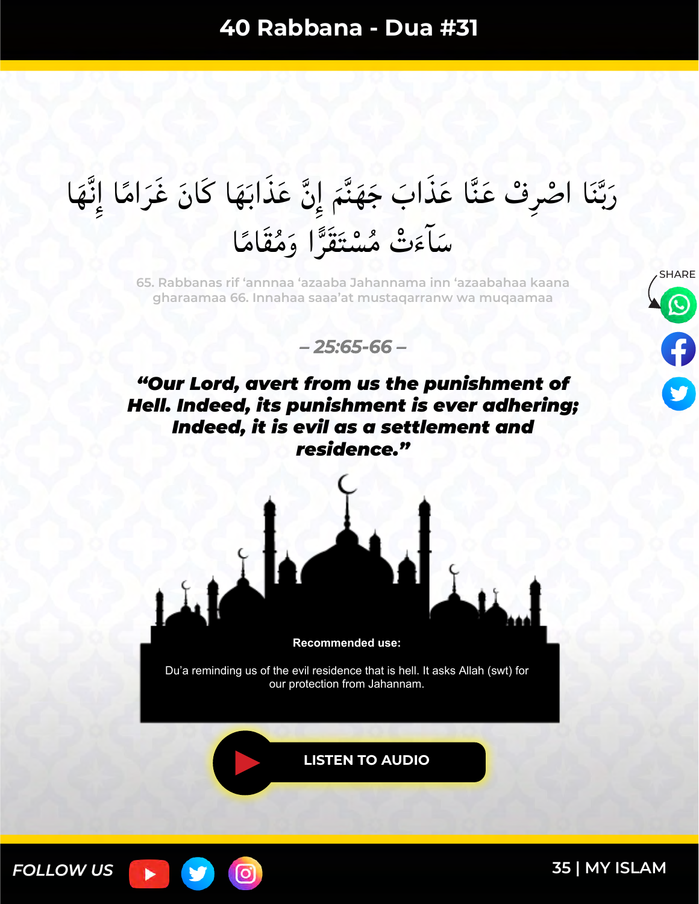#### رَبَّنَا اصْرِفْ عَنَّا عَذَابَ جَهَنَّمَ إِنَّ عَذَابَهَا كَانَ غَرَامًا إِنَّهَا ن<br>ف ند<br>ف  $\frac{1}{2}$ ر<br>ز  $\ddot{\phantom{0}}$  $\frac{1}{2}$  $\tilde{\bullet}$  $\ddot{\mathbf{u}}$ س<br>ب با<br>با َ سَآءَتْ مُسْتَقَرًّا وَمُقَامًا ً ,<br>∧ ن<br>ز  $\tilde{a}$

SHARE **65. Rabbanas rif 'annnaa 'azaaba Jahannama inn 'azaabahaa kaana gharaamaa 66. Innahaa saaa'at mustaqarranw wa muqaamaa**



*"Our Lord, avert from us the punishment of Hell. Indeed, its punishment is ever adhering; Indeed, it is evil as a settlement and residence."*



**Recommended use:** 

Du'a reminding us of the evil residence that is hell. It asks Allah (swt) for our protection from Jahannam.

**[LISTEN TO AUDIO](https://youtu.be/9FqbVL9xUjc)**



[O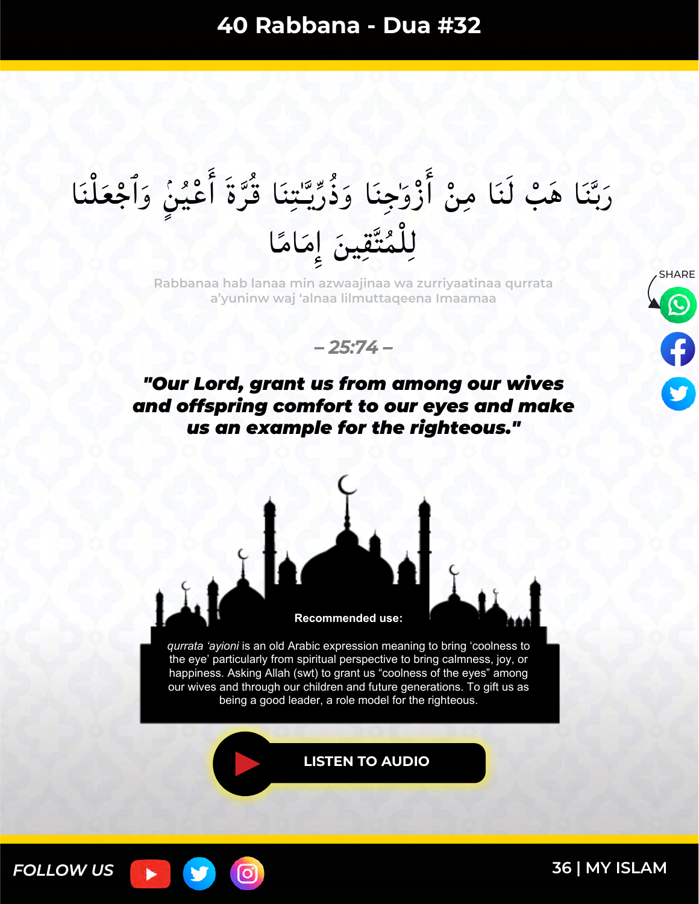#### رَبَّنَا هَبْ لَنَا مِنْ أَزْوَٰجِنَا وَذُرِّيَّتِنَا قُرَّةَ أَعْيُنٍۢ وَٱجْعَلْنَا ֕<br>׀ َ  $\bullet$  $\ddot{\bullet}$ ×<br>اب ە<br>ك َٔ لا<br>م  $\frac{1}{2}$  $\ddot{\phantom{0}}$ يد<br>پ بر<br>ر  $\lambda$ ا<br>ما ر<br>ما ¤ْ َٔ ֩**֦**  $\overline{\phantom{a}}$ ֬**֟**  $\frac{1}{2}$ بد<br>ب َ لِلْمُتَّقِينَ إِمَامًا ً  $\overline{\phantom{a}}$  $\frac{1}{2}$  $\frac{1}{2}$ ×<br>∧ ֪֩֩֟֩֩֩֩֩׀֦

SHARE **Rabbanaa hab lanaa min azwaajinaa wa zurriyaatinaa qurrata a'yuninw waj 'alnaa lilmuttaqeena Imaamaa**





## *"Our Lord, grant us from among our wives and offspring comfort to our eyes and make us an example for the righteous."*



*qurrata 'ayioni* is an old Arabic expression meaning to bring 'coolness to the eye' particularly from spiritual perspective to bring calmness, joy, or happiness. Asking Allah (swt) to grant us "coolness of the eyes" among our wives and through our children and future generations. To gift us as being a good leader, a role model for the righteous.

[ර

**[LISTEN TO AUDIO](https://youtu.be/a9zrTMqvgeY)**

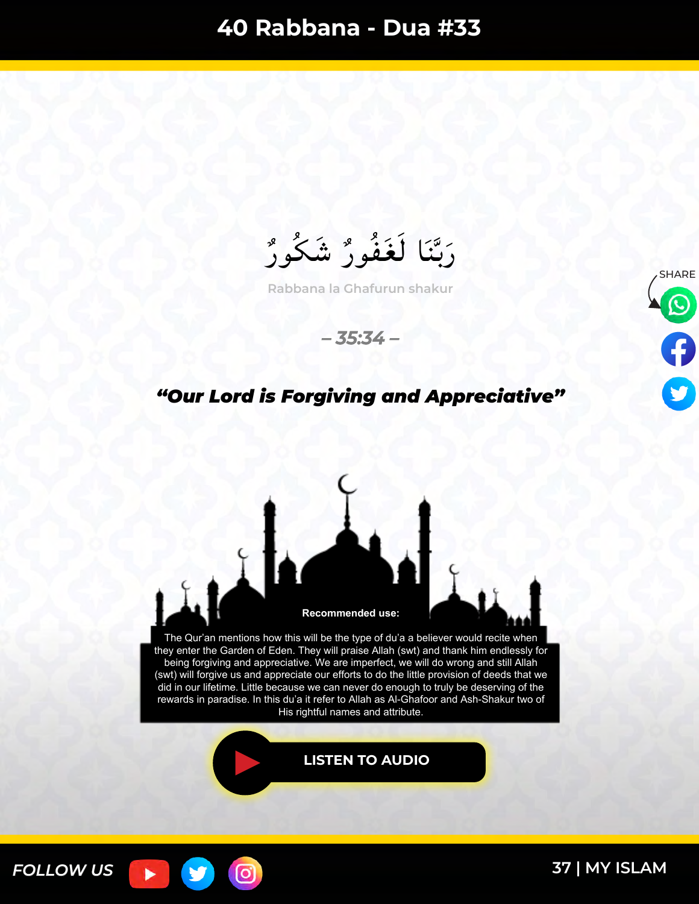بر<br>ر رَبَّنَا لَغَفُورٌ شَكُورٌ بر<br>مم  $\frac{1}{2}$ بد<br>ب َ

**Rabbana la Ghafurun shakur**





#### *"Our Lord is Forgiving and Appreciative"*



၀ြ

*FOLLOW US*

ь

У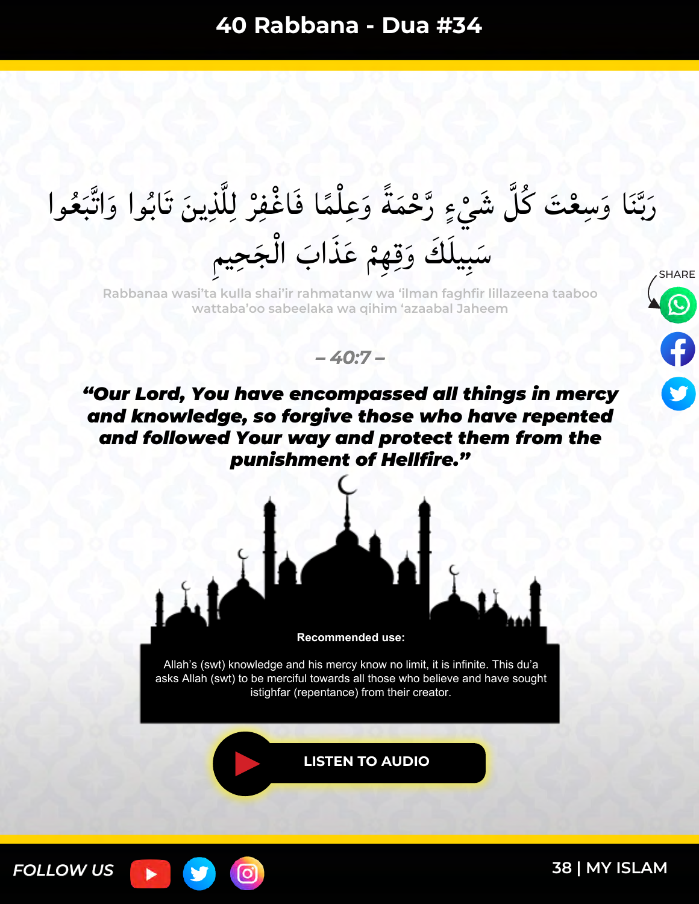SHARE رَبَّنَا وَسِعْتَ كُلَّ شَيْءٍ رَّحْمَةً وَعِلْمًا فَاغْفِرْ لِلَّذِينَ تَابُوا وَاتَّبَعُوا ا<br>ما ہ<br>( ً<br>محمد ֧֝֩֩֩֩֩֩֩׀<br>׀ ا<br>م ً  $\lambda$  $\frac{1}{2}$  $\ddot{ }$ ٥<br>۶ ا<br>ما س<br>ب بر<br>ب َ سَبِيلَكَ وَقِهِمْ عَذَابَ الْجَحِيمِ  $\int$  $\ddot{\bullet}$ ا<br>ما

**Rabbanaa wasi'ta kulla shai'ir rahmatanw wa 'ilman faghfir lillazeena taaboo wattaba'oo sabeelaka wa qihim 'azaabal Jaheem**

*– 40:7 –*





Allah's (swt) knowledge and his mercy know no limit, it is infinite. This du'a asks Allah (swt) to be merciful towards all those who believe and have sought istighfar (repentance) from their creator.

**[LISTEN TO AUDIO](https://youtu.be/5oWWViewUuE)**

[ဝ]

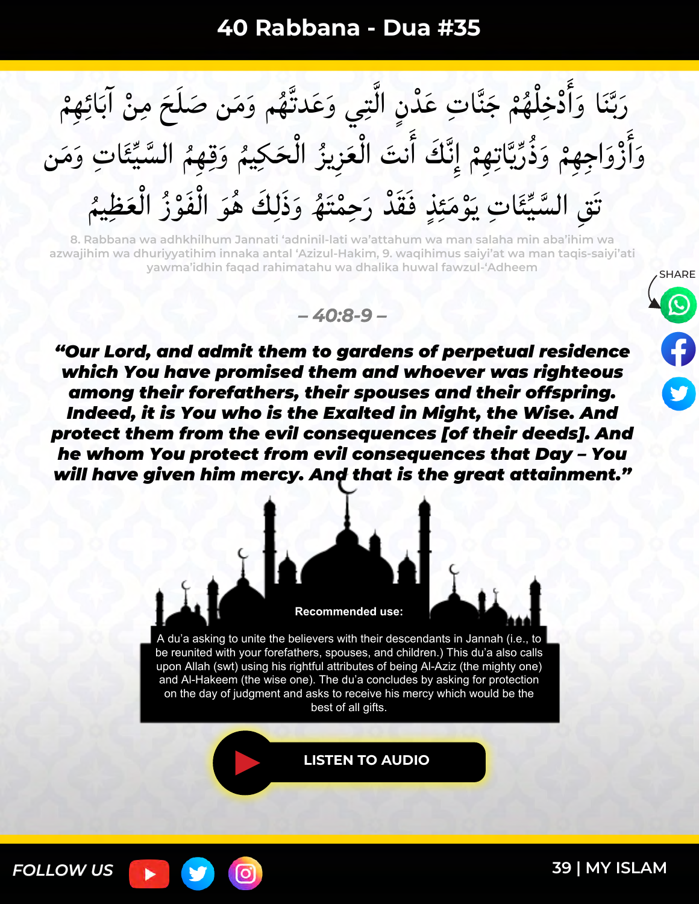$\ddot{\bullet}$ رَبَّنَا وَأَدْخِلْهُمْ جَنَّاتِ عَدْنِ الَّتِي وَعَدتَّهُم وَمَن صَلَحَ مِنْ آبَائِهِمْ  $\overline{\phantom{a}}$ ْ  $\chi$ ن<br>ن بر<br>ا  $\ddot{\phantom{0}}$ ە<br>\  $\ddot{\mathbf{u}}$  $\breve{\epsilon}$ ֩֩֩֩֩֩֩׀ **م م** َٔ ا َ  $\ddot{\phantom{0}}$ بد<br>ب َ وَأَزْوَاجِهِمْ وَذُرِّيَّاتِهِمْ إِنَّكَ أَنتَ الْعَزِيزُ الْحَكِيمُ وَقِهِمُ السَّيِّئَاتِ وَمَنِ بِمَعْ ∽<br>↓ ِ<br>م  $\frac{1}{2}$  $\int$ بر<br>ر ُ<br>و  $\int$  $\ddot{\cdot}$ َٔ ند<br>ف ٕ  $\ddot{\bullet}$  $\ddot{\phantom{0}}$ لا<br>لو بر<br>ر  $\frac{1}{2}$ ا<br>م  $\ddot{\bullet}$ ر<br>م ہ<br>نر<br>نر َٔ ا ا<br>ما تَقِ السَّيِّئَاتِ يَوْمَئِذٍ فَقَدْ رَحِمْتَهُ وَذَلِكَ هُوَ الْفَوْزُ الْعَظِيمُ  $\tilde{\bm{z}}$ ة<br>( بر<br>ر ە<br>و  $\int$ ر<br>ی ا<br>م ہ<br>م َ ا<br>∠<br>≈ ِمِعِ  $\tilde{\phantom{a}}$ بِمَعْ ∽<br>↓

**8. Rabbana wa adhkhilhum Jannati 'adninil-lati wa'attahum wa man salaha min aba'ihim wa azwajihim wa dhuriyyatihim innaka antal 'Azizul-Hakim, 9. waqihimus saiyi'at wa man taqis-saiyi'ati yawma'idhin faqad rahimatahu wa dhalika huwal fawzul-'Adheem** ×<br>♦

*– 40:8-9 –*

*"Our Lord, and admit them to gardens of perpetual residence which You have promised them and whoever was righteous among their forefathers, their spouses and their offspring. Indeed, it is You who is the Exalted in Might, the Wise. And protect them from the evil consequences [of their deeds]. And he whom You protect from evil consequences that Day – You will have given him mercy. And that is the great attainment."*



A du'a asking to unite the believers with their descendants in Jannah (i.e., to be reunited with your forefathers, spouses, and children.) This du'a also calls upon Allah (swt) using his rightful attributes of being Al-Aziz (the mighty one) and Al-Hakeem (the wise one). The du'a concludes by asking for protection on the day of judgment and asks to receive his mercy which would be the best of all gifts.

**[LISTEN TO AUDIO](https://youtu.be/NMkiW7-m1hE)**



(ဝ'

**SHARE** 

0

9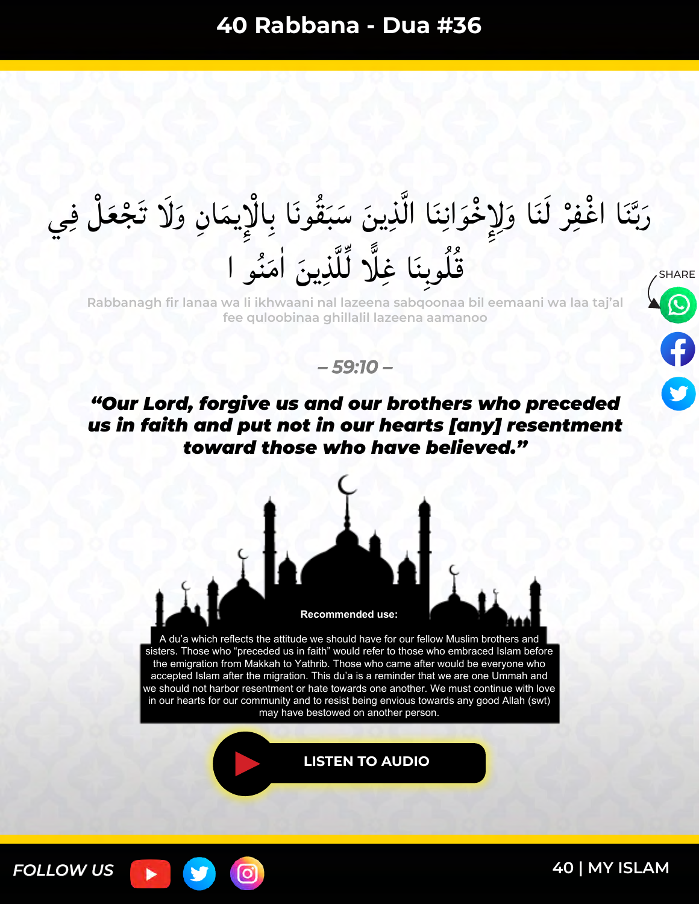#### رَبَّنَا اغْفِرْ لَنَا وَلِإِخْوَانِنَا الَّذِينَ سَبَقُونَا بِالْإِيمَانِ وَلَا تَجْعَلْ فِي ہ<br>|<br>|  $\tilde{\bm{s}}$ ֩**֟** ا<br>ما  $\lambda$ ە<br>را بر مع<br>م  $\overline{\phantom{a}}$ بر<br>ر  $\tilde{\mathbf{r}}$ َ **ื** ِٕ ر<br>م ہ<br>(  $\tilde{a}$ س<br>ب بد<br>ب ا<br>استان قُلُوبِنَا غِلَّا لِّلَّذِينَ اٰمَنُو ا  $\overline{\phantom{a}}$ ו<br>|<br>|  $\H$  $\tilde{\textbf{j}}$ س<br>م  $\tilde{ }$

**Rabbanagh fir lanaa wa li ikhwaani nal lazeena sabqoonaa bil eemaani wa laa taj'al fee quloobinaa ghillalil lazeena aamanoo**



*– 59:10 –*



A du'a which reflects the attitude we should have for our fellow Muslim brothers and sisters. Those who "preceded us in faith" would refer to those who embraced Islam before the emigration from Makkah to Yathrib. Those who came after would be everyone who accepted Islam after the migration. This du'a is a reminder that we are one Ummah and we should not harbor resentment or hate towards one another. We must continue with love in our hearts for our community and to resist being envious towards any good Allah (swt) may have bestowed on another person.

**[LISTEN TO AUDIO](https://youtu.be/_FHtzEdq1GM)**

0



#### **40 [| MY ISLAM](https://myislam.org/?utm_source=offline&utm_campaign=rabbana-du%27a-book&utm_content=20210127-footer)**

**SHARE** 

 $\bm{\omega}$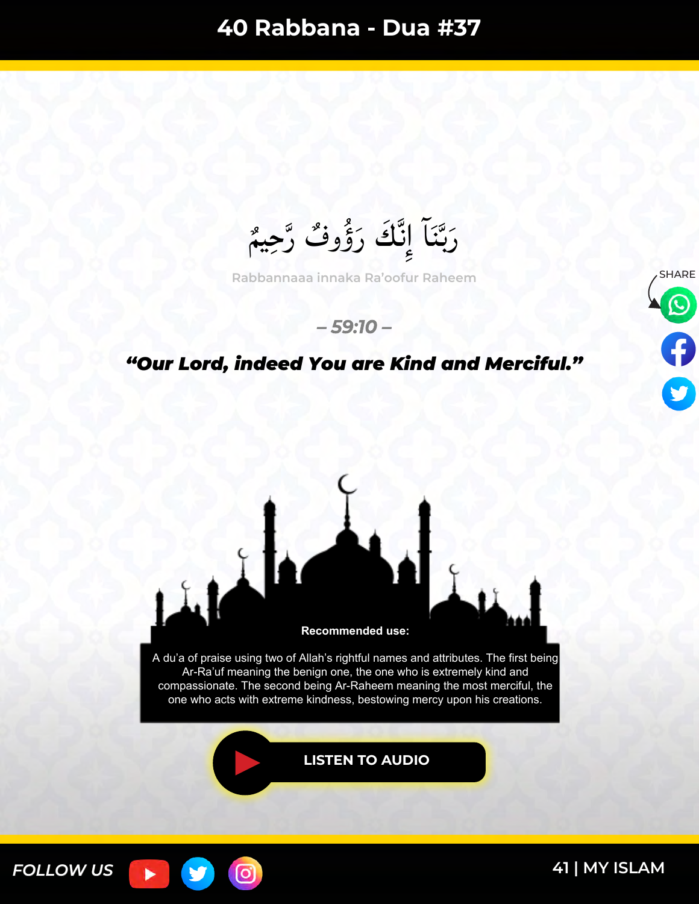<sup>,×</sup><br>◆ رَبَّنَاً إِنَّكَ رَؤُوفٌ رَّحِيمٌ لن<br>م ×<br>مەم َ ند<br>ف  $\frac{1}{2}$ س<br>ب با<br>با َ

Rabbannaaa innaka Ra'oofur Raheem **SHARE** 

#### *– 59:10 –*

#### *"Our Lord, indeed You are Kind and Merciful."*





*FOLLOW US*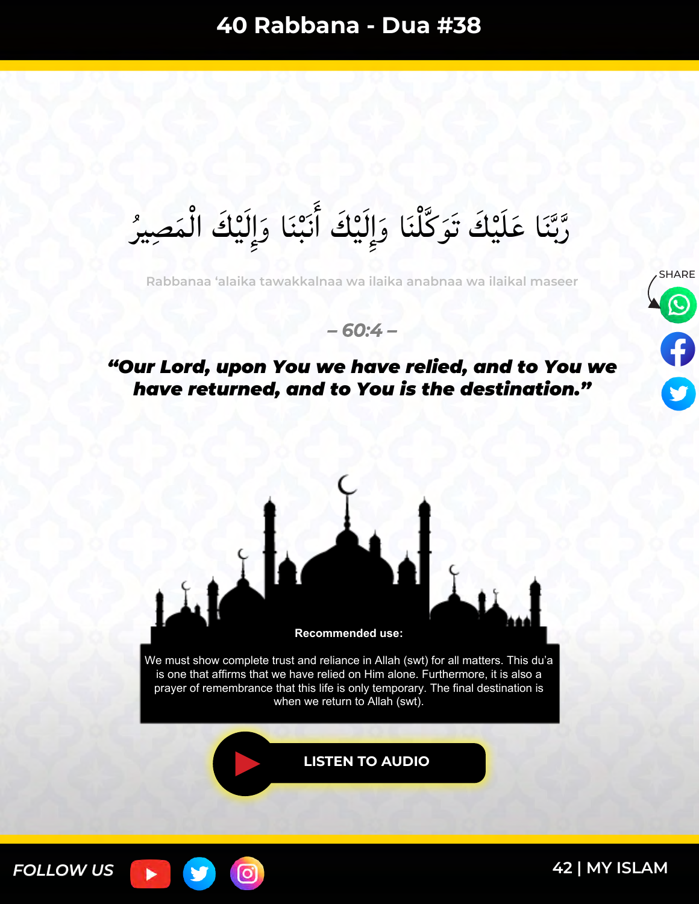بر<br>ر رَّبَّنَا عَلَیْكَ تَوَكَّلْنَا وَإِلَیْكَ أَنَبْنَا وَإِلَیْكَ الْمَصِیرُ  $\lambda$  $\int$  $\frac{1}{2}$  $\ddot{\bullet}$ َٔ ٰ¤<br>ا ֧֧֧֧֧֧֧֧֧֧֧֧֧֧֧֧֧֝֩֩֩֩֩֩֩֩֓֓֓֓֓֓֩֩֓֓֓֓֓֓֓֩֓֩֩֓׀<br>֧׀ َ  $\frac{1}{2}$ س<br>ب بد<br>ب س<br>م

SHARE **Rabbanaa 'alaika tawakkalnaa wa ilaika anabnaa wa ilaikal maseer**

*– 60:4 –*

## *"Our Lord, upon You we have relied, and to You we have returned, and to You is the destination."*





ြင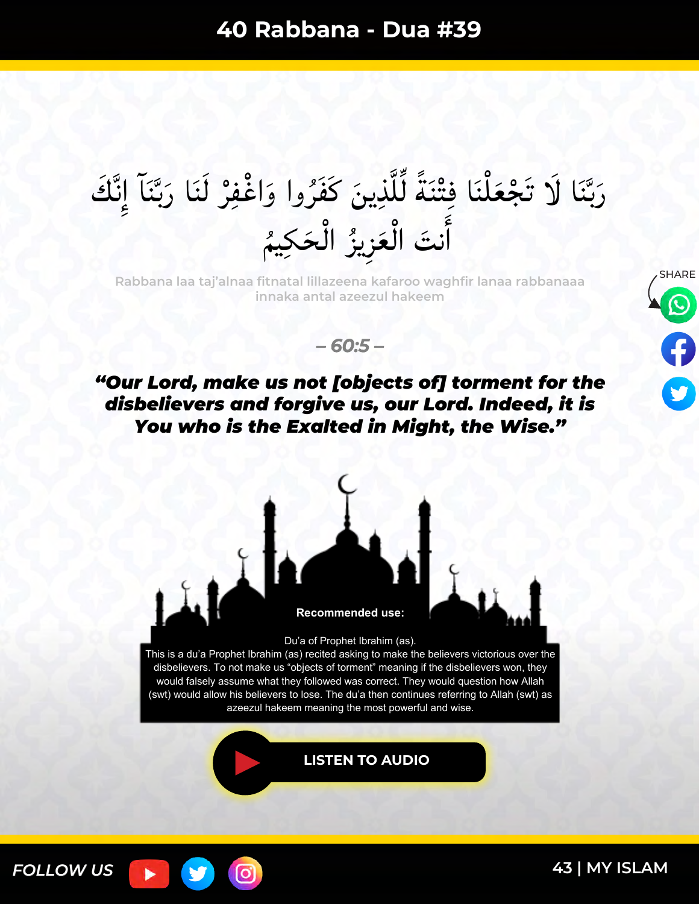#### رَبَّنَا لَا تَجْعَلْنَا فِتْنَةً لِّلَّذِينَ كَفَرُوا وَاغْفِرْ لَنَا رَبَّنَاً إِنَّكَ ند<br>ف  $\frac{1}{2}$  $\ddot{\phantom{0}}$ بر<br>ب ِ<br>ُما ہ<br>ز ا<br>م  $\H$  $\tilde{\textbf{j}}$ ً  $\overline{\phantom{a}}$  $\frac{1}{2}$  $\overline{\phantom{a}}$ ֩֩֩֩֩֩֩׀  $\tilde{\bm{s}}$ **ื** س<br>ا بد<br>ب َ  $\frac{1}{2}$ نتَ الْعَزِيزُ الْحَكِيمُ  $\int$ بر<br>زم  $\tilde{\mathbf{S}}$  $\int$  $\tilde{\cdot}$ َٔ ا

SHARE **Rabbana laa taj'alnaa fitnatal lillazeena kafaroo waghfir lanaa rabbanaaa innaka antal azeezul hakeem**



*– 60:5 –*

*"Our Lord, make us not [objects of] torment for the disbelievers and forgive us, our Lord. Indeed, it is You who is the Exalted in Might, the Wise."*



Du'a of Prophet Ibrahim (as).

This is a du'a Prophet Ibrahim (as) recited asking to make the believers victorious over the disbelievers. To not make us "objects of torment" meaning if the disbelievers won, they would falsely assume what they followed was correct. They would question how Allah (swt) would allow his believers to lose. The du'a then continues referring to Allah (swt) as azeezul hakeem meaning the most powerful and wise.

 $\bullet$ 

**[LISTEN TO AUDIO](https://youtu.be/-buKBTekF2E)**